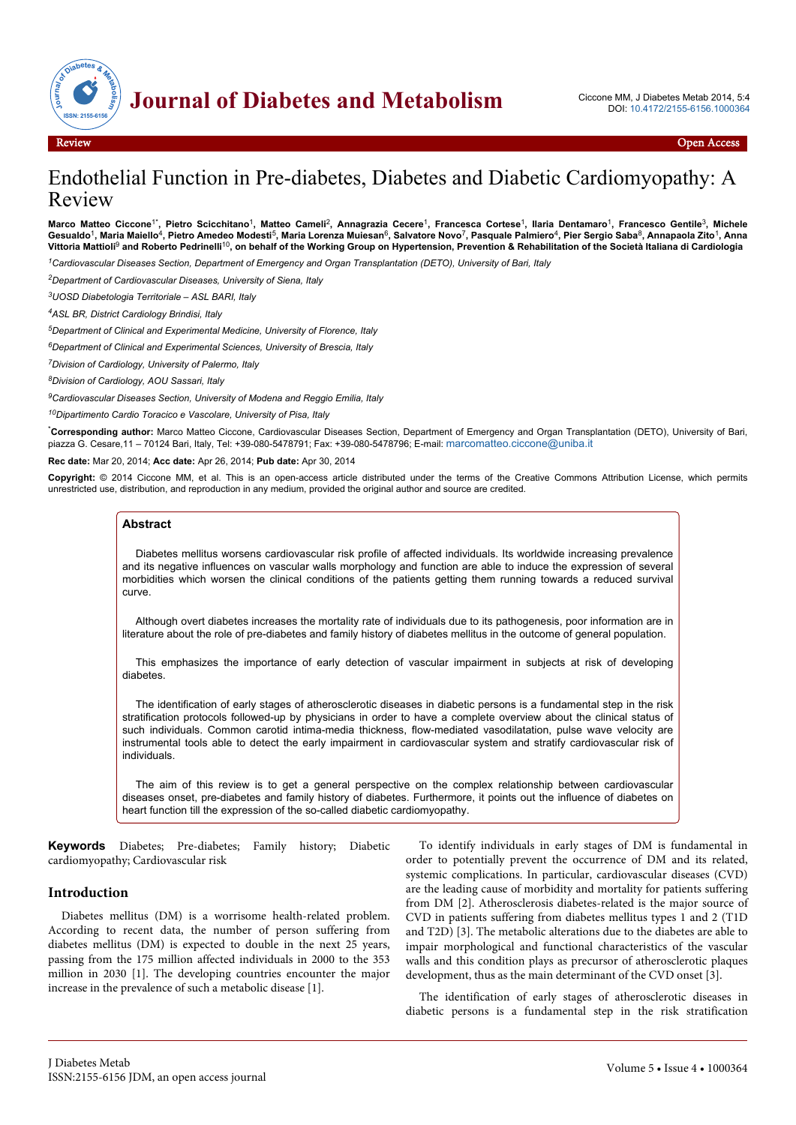

# Endothelial Function in Pre-diabetes, Diabetes and Diabetic Cardiomyopathy: A Review

Marco Matteo Ciccone<sup>1\*</sup>, Pietro Scicchitano<sup>1</sup>, Matteo Cameli<sup>2</sup>, Annagrazia Cecere<sup>1</sup>, Francesca Cortese<sup>1</sup>, Ilaria Dentamaro<sup>1</sup>, Francesco Gentile<sup>3</sup>, Michele Gesualdo<sup>1</sup>, Maria Maiello<sup>4</sup>, Pietro Amedeo Modesti<sup>5</sup>, Maria Lorenza Muiesan<sup>6</sup>, Salvatore Novo<sup>7</sup>, Pasquale Palmiero<sup>4</sup>, Pier Sergio Saba<sup>8</sup>, Annapaola Zito<sup>1</sup>, Anna **Vittoria Mattioli**<sup>9</sup>  **and Roberto Pedrinelli**10**, on behalf of the Working Group on Hypertension, Prevention & Rehabilitation of the Società Italiana di Cardiologia**

*<sup>1</sup>Cardiovascular Diseases Section, Department of Emergency and Organ Transplantation (DETO), University of Bari, Italy*

*<sup>2</sup>Department of Cardiovascular Diseases, University of Siena, Italy*

*<sup>3</sup>UOSD Diabetologia Territoriale – ASL BARI, Italy*

*<sup>4</sup>ASL BR, District Cardiology Brindisi, Italy*

*<sup>5</sup>Department of Clinical and Experimental Medicine, University of Florence, Italy*

*<sup>6</sup>Department of Clinical and Experimental Sciences, University of Brescia, Italy*

*<sup>7</sup>Division of Cardiology, University of Palermo, Italy*

*<sup>8</sup>Division of Cardiology, AOU Sassari, Italy*

*<sup>9</sup>Cardiovascular Diseases Section, University of Modena and Reggio Emilia, Italy*

*<sup>10</sup>Dipartimento Cardio Toracico e Vascolare, University of Pisa, Italy*

\***Corresponding author:** Marco Matteo Ciccone, Cardiovascular Diseases Section, Department of Emergency and Organ Transplantation (DETO), University of Bari, piazza G. Cesare,11 – 70124 Bari, Italy, Tel: +39-080-5478791; Fax: +39-080-5478796; E-mail: [marcomatteo.ciccone@uniba.it](mailto:marcomatteo.ciccone@uniba.it)

**Rec date:** Mar 20, 2014; **Acc date:** Apr 26, 2014; **Pub date:** Apr 30, 2014

**Copyright:** © 2014 Ciccone MM, et al. This is an open-access article distributed under the terms of the Creative Commons Attribution License, which permits unrestricted use, distribution, and reproduction in any medium, provided the original author and source are credited.

#### **Abstract**

Diabetes mellitus worsens cardiovascular risk profile of affected individuals. Its worldwide increasing prevalence and its negative influences on vascular walls morphology and function are able to induce the expression of several morbidities which worsen the clinical conditions of the patients getting them running towards a reduced survival curve.

Although overt diabetes increases the mortality rate of individuals due to its pathogenesis, poor information are in literature about the role of pre-diabetes and family history of diabetes mellitus in the outcome of general population.

This emphasizes the importance of early detection of vascular impairment in subjects at risk of developing diabetes.

The identification of early stages of atherosclerotic diseases in diabetic persons is a fundamental step in the risk stratification protocols followed-up by physicians in order to have a complete overview about the clinical status of such individuals. Common carotid intima-media thickness, flow-mediated vasodilatation, pulse wave velocity are instrumental tools able to detect the early impairment in cardiovascular system and stratify cardiovascular risk of individuals.

The aim of this review is to get a general perspective on the complex relationship between cardiovascular diseases onset, pre-diabetes and family history of diabetes. Furthermore, it points out the influence of diabetes on heart function till the expression of the so-called diabetic cardiomyopathy.

**Keywords** Diabetes; Pre-diabetes; Family history; Diabetic cardiomyopathy; Cardiovascular risk

#### **Introduction**

Diabetes mellitus (DM) is a worrisome health-related problem. According to recent data, the number of person suffering from diabetes mellitus (DM) is expected to double in the next 25 years, passing from the 175 million affected individuals in 2000 to the 353 million in 2030 [1]. The developing countries encounter the major increase in the prevalence of such a metabolic disease [1].

To identify individuals in early stages of DM is fundamental in order to potentially prevent the occurrence of DM and its related, systemic complications. In particular, cardiovascular diseases (CVD) are the leading cause of morbidity and mortality for patients suffering from DM [2]. Atherosclerosis diabetes-related is the major source of CVD in patients suffering from diabetes mellitus types 1 and 2 (T1D and T2D) [3]. The metabolic alterations due to the diabetes are able to impair morphological and functional characteristics of the vascular walls and this condition plays as precursor of atherosclerotic plaques development, thus as the main determinant of the CVD onset [3].

The identification of early stages of atherosclerotic diseases in diabetic persons is a fundamental step in the risk stratification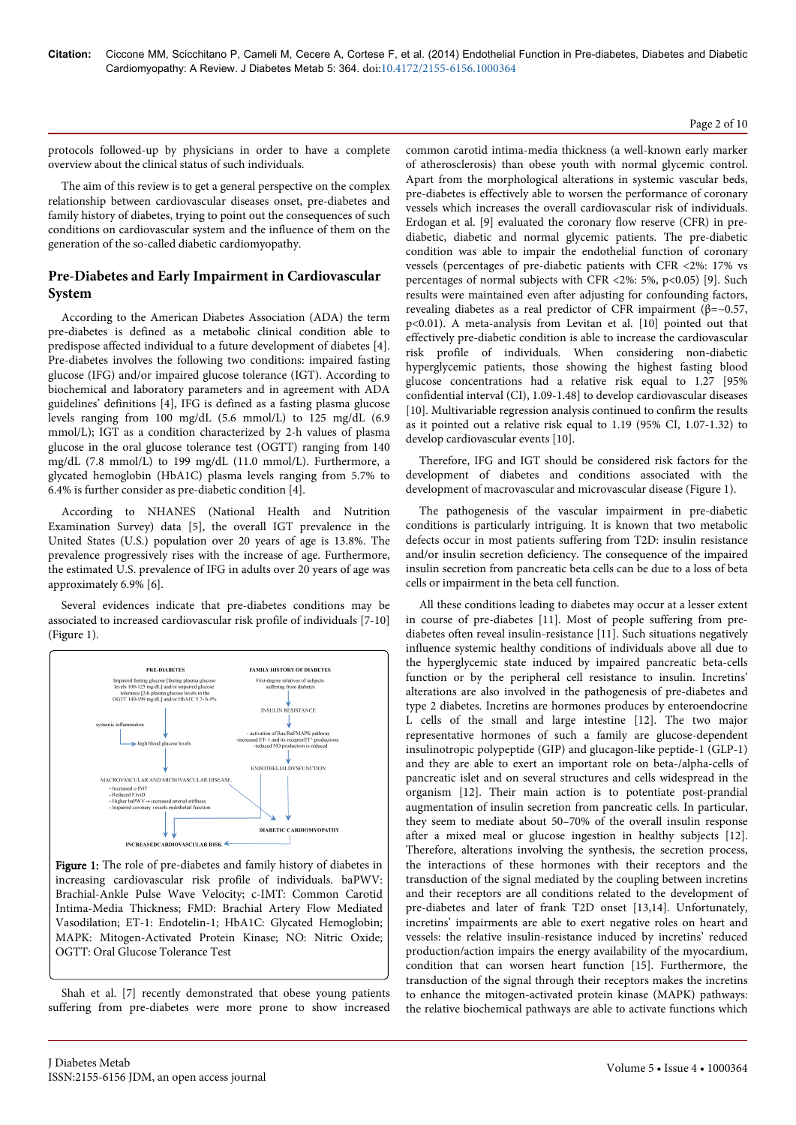#### Page 2 of 10

protocols followed-up by physicians in order to have a complete overview about the clinical status of such individuals.

The aim of this review is to get a general perspective on the complex relationship between cardiovascular diseases onset, pre-diabetes and family history of diabetes, trying to point out the consequences of such conditions on cardiovascular system and the influence of them on the generation of the so-called diabetic cardiomyopathy.

# **Pre-Diabetes and Early Impairment in Cardiovascular System**

According to the American Diabetes Association (ADA) the term pre-diabetes is defined as a metabolic clinical condition able to predispose affected individual to a future development of diabetes [4]. Pre-diabetes involves the following two conditions: impaired fasting glucose (IFG) and/or impaired glucose tolerance (IGT). According to biochemical and laboratory parameters and in agreement with ADA guidelines' definitions [4], IFG is defined as a fasting plasma glucose levels ranging from 100 mg/dL (5.6 mmol/L) to 125 mg/dL (6.9 mmol/L); IGT as a condition characterized by 2-h values of plasma glucose in the oral glucose tolerance test (OGTT) ranging from 140 mg/dL (7.8 mmol/L) to 199 mg/dL (11.0 mmol/L). Furthermore, a glycated hemoglobin (HbA1C) plasma levels ranging from 5.7% to 6.4% is further consider as pre-diabetic condition [4].

According to NHANES (National Health and Nutrition Examination Survey) data [5], the overall IGT prevalence in the United States (U.S.) population over 20 years of age is 13.8%. The prevalence progressively rises with the increase of age. Furthermore, the estimated U.S. prevalence of IFG in adults over 20 years of age was approximately 6.9% [6].

Several evidences indicate that pre-diabetes conditions may be associated to increased cardiovascular risk profile of individuals [7-10] (Figure 1).



Figure 1: The role of pre-diabetes and family history of diabetes in increasing cardiovascular risk profile of individuals. baPWV: Brachial-Ankle Pulse Wave Velocity; c-IMT: Common Carotid Intima-Media Thickness; FMD: Brachial Artery Flow Mediated Vasodilation; ET-1: Endotelin-1; HbA1C: Glycated Hemoglobin; MAPK: Mitogen-Activated Protein Kinase; NO: Nitric Oxide; OGTT: Oral Glucose Tolerance Test

Shah et al. [7] recently demonstrated that obese young patients suffering from pre-diabetes were more prone to show increased common carotid intima-media thickness (a well-known early marker of atherosclerosis) than obese youth with normal glycemic control. Apart from the morphological alterations in systemic vascular beds, pre-diabetes is effectively able to worsen the performance of coronary vessels which increases the overall cardiovascular risk of individuals. Erdogan et al. [9] evaluated the coronary flow reserve (CFR) in prediabetic, diabetic and normal glycemic patients. The pre-diabetic condition was able to impair the endothelial function of coronary vessels (percentages of pre-diabetic patients with CFR <2%: 17% vs percentages of normal subjects with CFR <2%: 5%, p<0.05) [9]. Such results were maintained even after adjusting for confounding factors, revealing diabetes as a real predictor of CFR impairment (β=−0.57, p<0.01). A meta-analysis from Levitan et al. [10] pointed out that effectively pre-diabetic condition is able to increase the cardiovascular risk profile of individuals. When considering non-diabetic hyperglycemic patients, those showing the highest fasting blood glucose concentrations had a relative risk equal to 1.27 [95% confidential interval (CI), 1.09-1.48] to develop cardiovascular diseases [10]. Multivariable regression analysis continued to confirm the results as it pointed out a relative risk equal to 1.19 (95% CI, 1.07-1.32) to develop cardiovascular events [10].

Therefore, IFG and IGT should be considered risk factors for the development of diabetes and conditions associated with the development of macrovascular and microvascular disease (Figure 1).

The pathogenesis of the vascular impairment in pre-diabetic conditions is particularly intriguing. It is known that two metabolic defects occur in most patients suffering from T2D: insulin resistance and/or insulin secretion deficiency. The consequence of the impaired insulin secretion from pancreatic beta cells can be due to a loss of beta cells or impairment in the beta cell function.

All these conditions leading to diabetes may occur at a lesser extent in course of pre-diabetes [11]. Most of people suffering from prediabetes often reveal insulin-resistance [11]. Such situations negatively influence systemic healthy conditions of individuals above all due to the hyperglycemic state induced by impaired pancreatic beta-cells function or by the peripheral cell resistance to insulin. Incretins' alterations are also involved in the pathogenesis of pre-diabetes and type 2 diabetes. Incretins are hormones produces by enteroendocrine L cells of the small and large intestine [12]. The two major representative hormones of such a family are glucose-dependent insulinotropic polypeptide (GIP) and glucagon-like peptide-1 (GLP-1) and they are able to exert an important role on beta-/alpha-cells of pancreatic islet and on several structures and cells widespread in the organism [12]. Their main action is to potentiate post-prandial augmentation of insulin secretion from pancreatic cells. In particular, they seem to mediate about 50–70% of the overall insulin response after a mixed meal or glucose ingestion in healthy subjects [12]. Therefore, alterations involving the synthesis, the secretion process, the interactions of these hormones with their receptors and the transduction of the signal mediated by the coupling between incretins and their receptors are all conditions related to the development of pre-diabetes and later of frank T2D onset [13,14]. Unfortunately, incretins' impairments are able to exert negative roles on heart and vessels: the relative insulin-resistance induced by incretins' reduced production/action impairs the energy availability of the myocardium, condition that can worsen heart function [15]. Furthermore, the transduction of the signal through their receptors makes the incretins to enhance the mitogen-activated protein kinase (MAPK) pathways: the relative biochemical pathways are able to activate functions which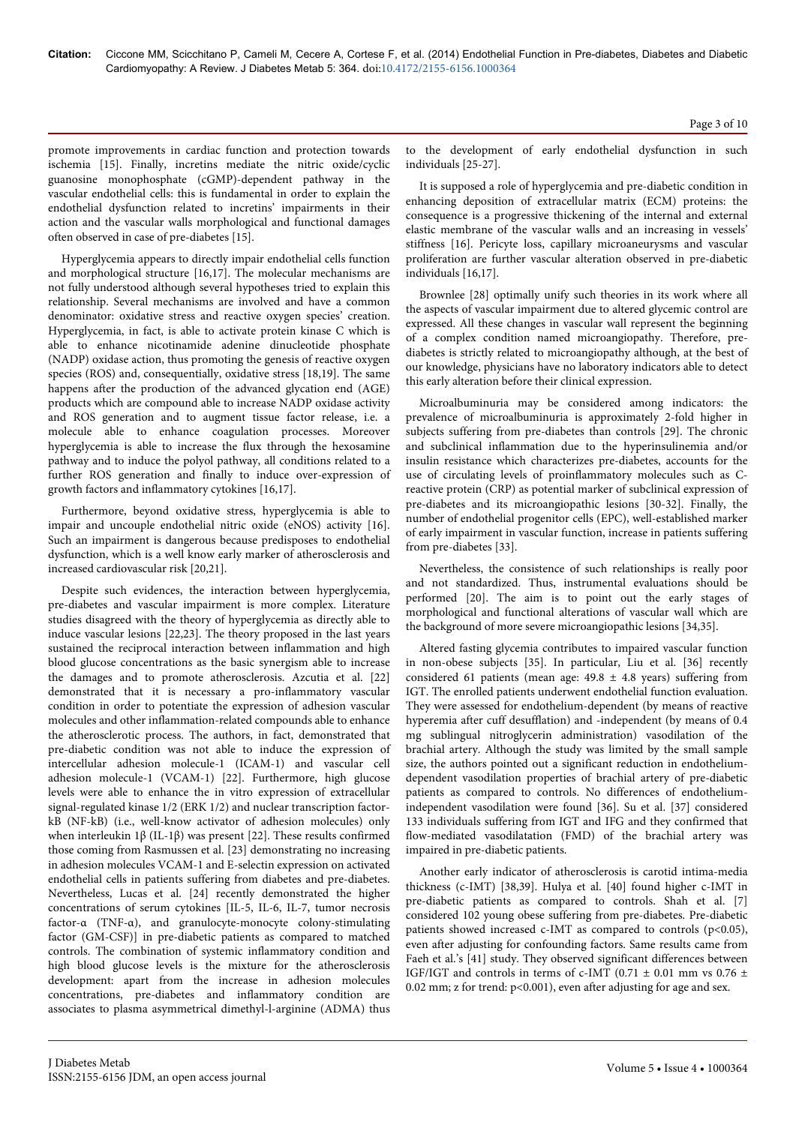promote improvements in cardiac function and protection towards ischemia [15]. Finally, incretins mediate the nitric oxide/cyclic guanosine monophosphate (cGMP)-dependent pathway in the vascular endothelial cells: this is fundamental in order to explain the endothelial dysfunction related to incretins' impairments in their action and the vascular walls morphological and functional damages often observed in case of pre-diabetes [15].

Hyperglycemia appears to directly impair endothelial cells function and morphological structure [16,17]. The molecular mechanisms are not fully understood although several hypotheses tried to explain this relationship. Several mechanisms are involved and have a common denominator: oxidative stress and reactive oxygen species' creation. Hyperglycemia, in fact, is able to activate protein kinase C which is able to enhance nicotinamide adenine dinucleotide phosphate (NADP) oxidase action, thus promoting the genesis of reactive oxygen species (ROS) and, consequentially, oxidative stress [18,19]. The same happens after the production of the advanced glycation end (AGE) products which are compound able to increase NADP oxidase activity and ROS generation and to augment tissue factor release, i.e. a molecule able to enhance coagulation processes. Moreover hyperglycemia is able to increase the flux through the hexosamine pathway and to induce the polyol pathway, all conditions related to a further ROS generation and finally to induce over-expression of growth factors and inflammatory cytokines [16,17].

Furthermore, beyond oxidative stress, hyperglycemia is able to impair and uncouple endothelial nitric oxide (eNOS) activity [16]. Such an impairment is dangerous because predisposes to endothelial dysfunction, which is a well know early marker of atherosclerosis and increased cardiovascular risk [20,21].

Despite such evidences, the interaction between hyperglycemia, pre-diabetes and vascular impairment is more complex. Literature studies disagreed with the theory of hyperglycemia as directly able to induce vascular lesions [22,23]. The theory proposed in the last years sustained the reciprocal interaction between inflammation and high blood glucose concentrations as the basic synergism able to increase the damages and to promote atherosclerosis. Azcutia et al. [22] demonstrated that it is necessary a pro-inflammatory vascular condition in order to potentiate the expression of adhesion vascular molecules and other inflammation-related compounds able to enhance the atherosclerotic process. The authors, in fact, demonstrated that pre-diabetic condition was not able to induce the expression of intercellular adhesion molecule-1 (ICAM-1) and vascular cell adhesion molecule-1 (VCAM-1) [22]. Furthermore, high glucose levels were able to enhance the in vitro expression of extracellular signal-regulated kinase 1/2 (ERK 1/2) and nuclear transcription factorkB (NF-kB) (i.e., well-know activator of adhesion molecules) only when interleukin 1β (IL-1β) was present [22]. These results confirmed those coming from Rasmussen et al. [23] demonstrating no increasing in adhesion molecules VCAM-1 and E-selectin expression on activated endothelial cells in patients suffering from diabetes and pre-diabetes. Nevertheless, Lucas et al. [24] recently demonstrated the higher concentrations of serum cytokines [IL-5, IL-6, IL-7, tumor necrosis factor-α (TNF-α), and granulocyte-monocyte colony-stimulating factor (GM-CSF)] in pre-diabetic patients as compared to matched controls. The combination of systemic inflammatory condition and high blood glucose levels is the mixture for the atherosclerosis development: apart from the increase in adhesion molecules concentrations, pre-diabetes and inflammatory condition are associates to plasma asymmetrical dimethyl-l-arginine (ADMA) thus

to the development of early endothelial dysfunction in such individuals [25-27].

It is supposed a role of hyperglycemia and pre-diabetic condition in enhancing deposition of extracellular matrix (ECM) proteins: the consequence is a progressive thickening of the internal and external elastic membrane of the vascular walls and an increasing in vessels' stiffness [16]. Pericyte loss, capillary microaneurysms and vascular proliferation are further vascular alteration observed in pre-diabetic individuals [16,17].

Brownlee [28] optimally unify such theories in its work where all the aspects of vascular impairment due to altered glycemic control are expressed. All these changes in vascular wall represent the beginning of a complex condition named microangiopathy. Therefore, prediabetes is strictly related to microangiopathy although, at the best of our knowledge, physicians have no laboratory indicators able to detect this early alteration before their clinical expression.

Microalbuminuria may be considered among indicators: the prevalence of microalbuminuria is approximately 2-fold higher in subjects suffering from pre-diabetes than controls [29]. The chronic and subclinical inflammation due to the hyperinsulinemia and/or insulin resistance which characterizes pre-diabetes, accounts for the use of circulating levels of proinflammatory molecules such as Creactive protein (CRP) as potential marker of subclinical expression of pre-diabetes and its microangiopathic lesions [30-32]. Finally, the number of endothelial progenitor cells (EPC), well-established marker of early impairment in vascular function, increase in patients suffering from pre-diabetes [33].

Nevertheless, the consistence of such relationships is really poor and not standardized. Thus, instrumental evaluations should be performed [20]. The aim is to point out the early stages of morphological and functional alterations of vascular wall which are the background of more severe microangiopathic lesions [34,35].

Altered fasting glycemia contributes to impaired vascular function in non-obese subjects [35]. In particular, Liu et al. [36] recently considered 61 patients (mean age:  $49.8 \pm 4.8$  years) suffering from IGT. The enrolled patients underwent endothelial function evaluation. They were assessed for endothelium-dependent (by means of reactive hyperemia after cuff desufflation) and -independent (by means of 0.4 mg sublingual nitroglycerin administration) vasodilation of the brachial artery. Although the study was limited by the small sample size, the authors pointed out a significant reduction in endotheliumdependent vasodilation properties of brachial artery of pre-diabetic patients as compared to controls. No differences of endotheliumindependent vasodilation were found [36]. Su et al. [37] considered 133 individuals suffering from IGT and IFG and they confirmed that flow-mediated vasodilatation (FMD) of the brachial artery was impaired in pre-diabetic patients.

Another early indicator of atherosclerosis is carotid intima-media thickness (c-IMT) [38,39]. Hulya et al. [40] found higher c-IMT in pre-diabetic patients as compared to controls. Shah et al. [7] considered 102 young obese suffering from pre-diabetes. Pre-diabetic patients showed increased c-IMT as compared to controls  $(p<0.05)$ , even after adjusting for confounding factors. Same results came from Faeh et al.'s [41] study. They observed significant differences between IGF/IGT and controls in terms of c-IMT (0.71  $\pm$  0.01 mm vs 0.76  $\pm$ 0.02 mm; z for trend: p<0.001), even after adjusting for age and sex.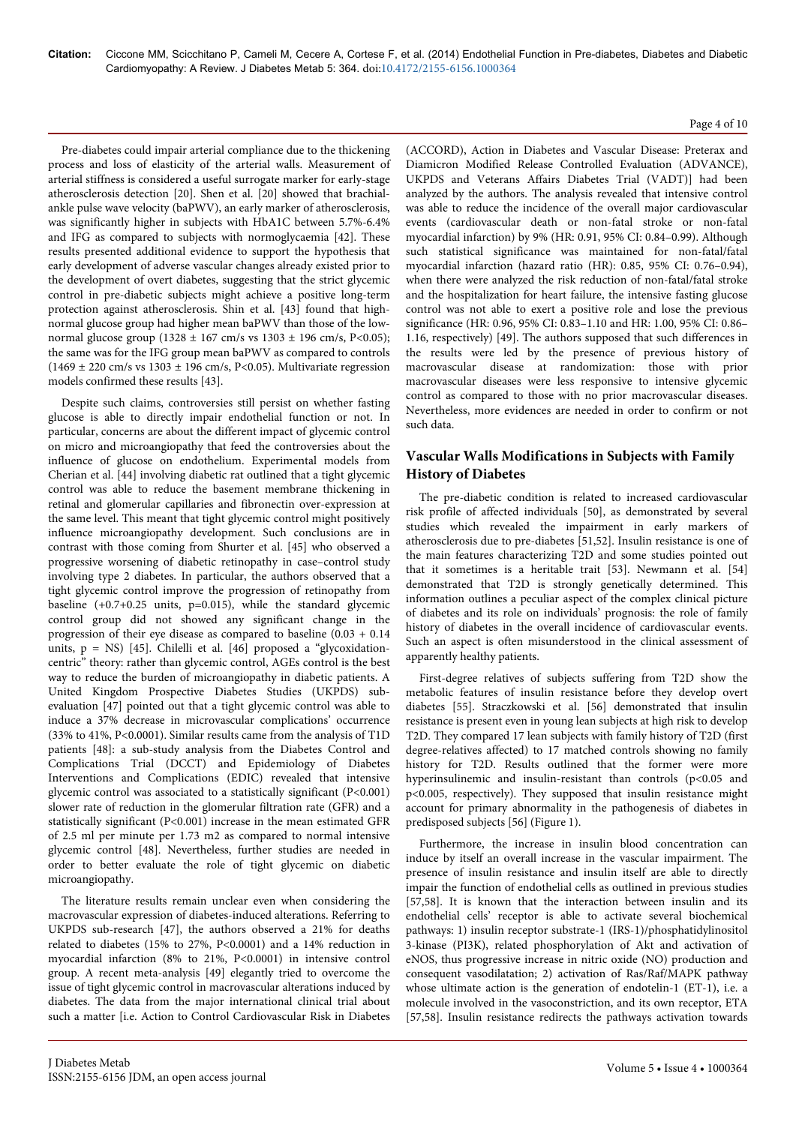# Page 4 of 10

Pre-diabetes could impair arterial compliance due to the thickening process and loss of elasticity of the arterial walls. Measurement of arterial stiffness is considered a useful surrogate marker for early-stage atherosclerosis detection [20]. Shen et al. [20] showed that brachialankle pulse wave velocity (baPWV), an early marker of atherosclerosis, was significantly higher in subjects with HbA1C between 5.7%-6.4% and IFG as compared to subjects with normoglycaemia [42]. These results presented additional evidence to support the hypothesis that early development of adverse vascular changes already existed prior to the development of overt diabetes, suggesting that the strict glycemic control in pre-diabetic subjects might achieve a positive long-term protection against atherosclerosis. Shin et al. [43] found that highnormal glucose group had higher mean baPWV than those of the lownormal glucose group (1328 ± 167 cm/s vs 1303 ± 196 cm/s, P<0.05); the same was for the IFG group mean baPWV as compared to controls  $(1469 \pm 220 \text{ cm/s vs } 1303 \pm 196 \text{ cm/s}, P<0.05)$ . Multivariate regression models confirmed these results [43].

Despite such claims, controversies still persist on whether fasting glucose is able to directly impair endothelial function or not. In particular, concerns are about the different impact of glycemic control on micro and microangiopathy that feed the controversies about the influence of glucose on endothelium. Experimental models from Cherian et al. [44] involving diabetic rat outlined that a tight glycemic control was able to reduce the basement membrane thickening in retinal and glomerular capillaries and fibronectin over-expression at the same level. This meant that tight glycemic control might positively influence microangiopathy development. Such conclusions are in contrast with those coming from Shurter et al. [45] who observed a progressive worsening of diabetic retinopathy in case–control study involving type 2 diabetes. In particular, the authors observed that a tight glycemic control improve the progression of retinopathy from baseline (+0.7+0.25 units, p=0.015), while the standard glycemic control group did not showed any significant change in the progression of their eye disease as compared to baseline (0.03 + 0.14 units,  $p = NS$ ) [45]. Chilelli et al. [46] proposed a "glycoxidationcentric" theory: rather than glycemic control, AGEs control is the best way to reduce the burden of microangiopathy in diabetic patients. A United Kingdom Prospective Diabetes Studies (UKPDS) subevaluation [47] pointed out that a tight glycemic control was able to induce a 37% decrease in microvascular complications' occurrence (33% to 41%, P<0.0001). Similar results came from the analysis of T1D patients [48]: a sub-study analysis from the Diabetes Control and Complications Trial (DCCT) and Epidemiology of Diabetes Interventions and Complications (EDIC) revealed that intensive glycemic control was associated to a statistically significant (P<0.001) slower rate of reduction in the glomerular filtration rate (GFR) and a statistically significant (P<0.001) increase in the mean estimated GFR of 2.5 ml per minute per 1.73 m2 as compared to normal intensive glycemic control [48]. Nevertheless, further studies are needed in order to better evaluate the role of tight glycemic on diabetic microangiopathy.

The literature results remain unclear even when considering the macrovascular expression of diabetes-induced alterations. Referring to UKPDS sub-research [47], the authors observed a 21% for deaths related to diabetes (15% to 27%, P<0.0001) and a 14% reduction in myocardial infarction (8% to 21%, P<0.0001) in intensive control group. A recent meta-analysis [49] elegantly tried to overcome the issue of tight glycemic control in macrovascular alterations induced by diabetes. The data from the major international clinical trial about such a matter [i.e. Action to Control Cardiovascular Risk in Diabetes

(ACCORD), Action in Diabetes and Vascular Disease: Preterax and Diamicron Modified Release Controlled Evaluation (ADVANCE), UKPDS and Veterans Affairs Diabetes Trial (VADT)] had been analyzed by the authors. The analysis revealed that intensive control was able to reduce the incidence of the overall major cardiovascular events (cardiovascular death or non-fatal stroke or non-fatal myocardial infarction) by 9% (HR: 0.91, 95% CI: 0.84–0.99). Although such statistical significance was maintained for non-fatal/fatal myocardial infarction (hazard ratio (HR): 0.85, 95% CI: 0.76–0.94), when there were analyzed the risk reduction of non-fatal/fatal stroke and the hospitalization for heart failure, the intensive fasting glucose control was not able to exert a positive role and lose the previous significance (HR: 0.96, 95% CI: 0.83–1.10 and HR: 1.00, 95% CI: 0.86– 1.16, respectively) [49]. The authors supposed that such differences in the results were led by the presence of previous history of macrovascular disease at randomization: those with prior macrovascular diseases were less responsive to intensive glycemic control as compared to those with no prior macrovascular diseases. Nevertheless, more evidences are needed in order to confirm or not such data.

# **Vascular Walls Modifications in Subjects with Family History of Diabetes**

The pre-diabetic condition is related to increased cardiovascular risk profile of affected individuals [50], as demonstrated by several studies which revealed the impairment in early markers of atherosclerosis due to pre-diabetes [51,52]. Insulin resistance is one of the main features characterizing T2D and some studies pointed out that it sometimes is a heritable trait [53]. Newmann et al. [54] demonstrated that T2D is strongly genetically determined. This information outlines a peculiar aspect of the complex clinical picture of diabetes and its role on individuals' prognosis: the role of family history of diabetes in the overall incidence of cardiovascular events. Such an aspect is often misunderstood in the clinical assessment of apparently healthy patients.

First-degree relatives of subjects suffering from T2D show the metabolic features of insulin resistance before they develop overt diabetes [55]. Straczkowski et al. [56] demonstrated that insulin resistance is present even in young lean subjects at high risk to develop T2D. They compared 17 lean subjects with family history of T2D (first degree-relatives affected) to 17 matched controls showing no family history for T2D. Results outlined that the former were more hyperinsulinemic and insulin-resistant than controls (p<0.05 and p<0.005, respectively). They supposed that insulin resistance might account for primary abnormality in the pathogenesis of diabetes in predisposed subjects [56] (Figure 1).

Furthermore, the increase in insulin blood concentration can induce by itself an overall increase in the vascular impairment. The presence of insulin resistance and insulin itself are able to directly impair the function of endothelial cells as outlined in previous studies [57,58]. It is known that the interaction between insulin and its endothelial cells' receptor is able to activate several biochemical pathways: 1) insulin receptor substrate-1 (IRS-1)/phosphatidylinositol 3-kinase (PI3K), related phosphorylation of Akt and activation of eNOS, thus progressive increase in nitric oxide (NO) production and consequent vasodilatation; 2) activation of Ras/Raf/MAPK pathway whose ultimate action is the generation of endotelin-1 (ET-1), i.e. a molecule involved in the vasoconstriction, and its own receptor, ETA [57,58]. Insulin resistance redirects the pathways activation towards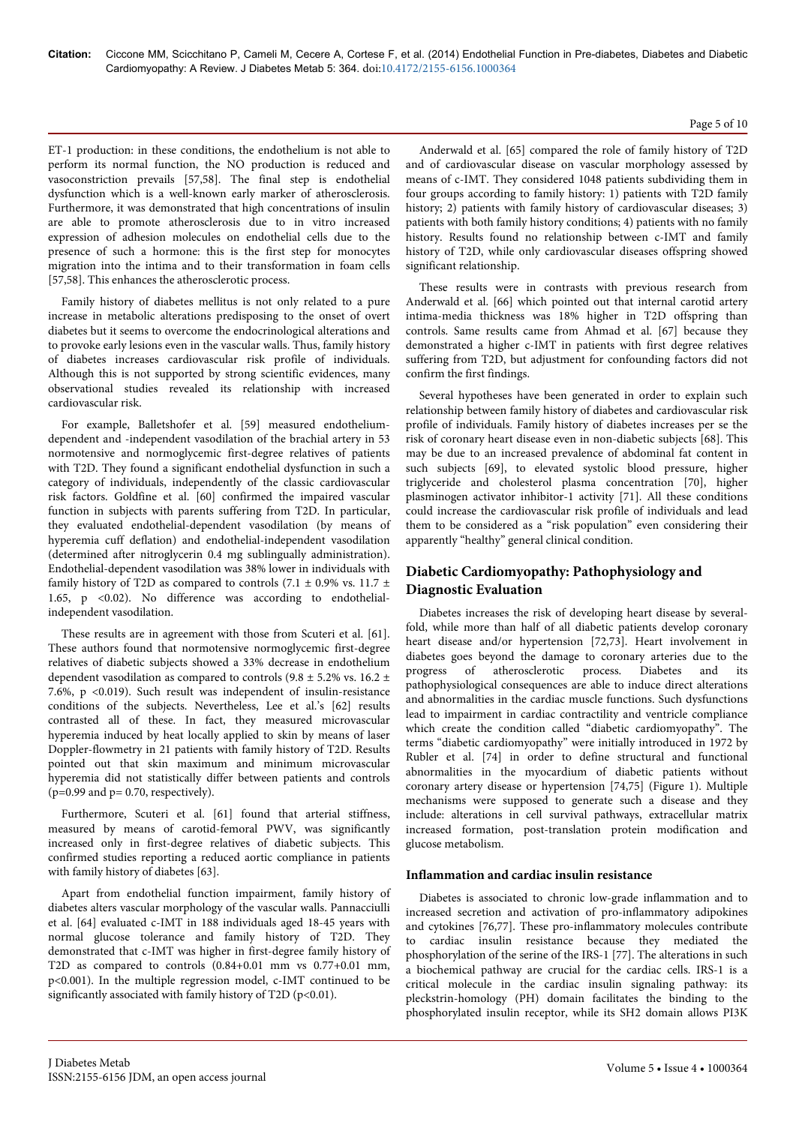#### Page 5 of 10

ET-1 production: in these conditions, the endothelium is not able to perform its normal function, the NO production is reduced and vasoconstriction prevails [57,58]. The final step is endothelial dysfunction which is a well-known early marker of atherosclerosis. Furthermore, it was demonstrated that high concentrations of insulin are able to promote atherosclerosis due to in vitro increased expression of adhesion molecules on endothelial cells due to the presence of such a hormone: this is the first step for monocytes migration into the intima and to their transformation in foam cells [57,58]. This enhances the atherosclerotic process.

Family history of diabetes mellitus is not only related to a pure increase in metabolic alterations predisposing to the onset of overt diabetes but it seems to overcome the endocrinological alterations and to provoke early lesions even in the vascular walls. Thus, family history of diabetes increases cardiovascular risk profile of individuals. Although this is not supported by strong scientific evidences, many observational studies revealed its relationship with increased cardiovascular risk.

For example, Balletshofer et al. [59] measured endotheliumdependent and -independent vasodilation of the brachial artery in 53 normotensive and normoglycemic first-degree relatives of patients with T2D. They found a significant endothelial dysfunction in such a category of individuals, independently of the classic cardiovascular risk factors. Goldfine et al. [60] confirmed the impaired vascular function in subjects with parents suffering from T2D. In particular, they evaluated endothelial-dependent vasodilation (by means of hyperemia cuff deflation) and endothelial-independent vasodilation (determined after nitroglycerin 0.4 mg sublingually administration). Endothelial-dependent vasodilation was 38% lower in individuals with family history of T2D as compared to controls (7.1  $\pm$  0.9% vs. 11.7  $\pm$ 1.65, p <0.02). No difference was according to endothelialindependent vasodilation.

These results are in agreement with those from Scuteri et al. [61]. These authors found that normotensive normoglycemic first-degree relatives of diabetic subjects showed a 33% decrease in endothelium dependent vasodilation as compared to controls (9.8  $\pm$  5.2% vs. 16.2  $\pm$ 7.6%, p <0.019). Such result was independent of insulin-resistance conditions of the subjects. Nevertheless, Lee et al.'s [62] results contrasted all of these. In fact, they measured microvascular hyperemia induced by heat locally applied to skin by means of laser Doppler-flowmetry in 21 patients with family history of T2D. Results pointed out that skin maximum and minimum microvascular hyperemia did not statistically differ between patients and controls  $(p=0.99$  and  $p=0.70$ , respectively).

Furthermore, Scuteri et al. [61] found that arterial stiffness, measured by means of carotid-femoral PWV, was significantly increased only in first-degree relatives of diabetic subjects. This confirmed studies reporting a reduced aortic compliance in patients with family history of diabetes [63].

Apart from endothelial function impairment, family history of diabetes alters vascular morphology of the vascular walls. Pannacciulli et al. [64] evaluated c-IMT in 188 individuals aged 18-45 years with normal glucose tolerance and family history of T2D. They demonstrated that c-IMT was higher in first-degree family history of T2D as compared to controls (0.84+0.01 mm vs 0.77+0.01 mm, p<0.001). In the multiple regression model, c-IMT continued to be significantly associated with family history of T2D (p<0.01).

Anderwald et al. [65] compared the role of family history of T2D and of cardiovascular disease on vascular morphology assessed by means of c-IMT. They considered 1048 patients subdividing them in four groups according to family history: 1) patients with T2D family history; 2) patients with family history of cardiovascular diseases; 3) patients with both family history conditions; 4) patients with no family history. Results found no relationship between c-IMT and family history of T2D, while only cardiovascular diseases offspring showed significant relationship.

These results were in contrasts with previous research from Anderwald et al. [66] which pointed out that internal carotid artery intima-media thickness was 18% higher in T2D offspring than controls. Same results came from Ahmad et al. [67] because they demonstrated a higher c-IMT in patients with first degree relatives suffering from T2D, but adjustment for confounding factors did not confirm the first findings.

Several hypotheses have been generated in order to explain such relationship between family history of diabetes and cardiovascular risk profile of individuals. Family history of diabetes increases per se the risk of coronary heart disease even in non-diabetic subjects [68]. This may be due to an increased prevalence of abdominal fat content in such subjects [69], to elevated systolic blood pressure, higher triglyceride and cholesterol plasma concentration [70], higher plasminogen activator inhibitor-1 activity [71]. All these conditions could increase the cardiovascular risk profile of individuals and lead them to be considered as a "risk population" even considering their apparently "healthy" general clinical condition.

# **Diabetic Cardiomyopathy: Pathophysiology and Diagnostic Evaluation**

Diabetes increases the risk of developing heart disease by severalfold, while more than half of all diabetic patients develop coronary heart disease and/or hypertension [72,73]. Heart involvement in diabetes goes beyond the damage to coronary arteries due to the progress of atherosclerotic process. Diabetes and its pathophysiological consequences are able to induce direct alterations and abnormalities in the cardiac muscle functions. Such dysfunctions lead to impairment in cardiac contractility and ventricle compliance which create the condition called "diabetic cardiomyopathy". The terms "diabetic cardiomyopathy" were initially introduced in 1972 by Rubler et al. [74] in order to define structural and functional abnormalities in the myocardium of diabetic patients without coronary artery disease or hypertension [74,75] (Figure 1). Multiple mechanisms were supposed to generate such a disease and they include: alterations in cell survival pathways, extracellular matrix increased formation, post-translation protein modification and glucose metabolism.

# **Inflammation and cardiac insulin resistance**

Diabetes is associated to chronic low-grade inflammation and to increased secretion and activation of pro-inflammatory adipokines and cytokines [76,77]. These pro-inflammatory molecules contribute to cardiac insulin resistance because they mediated the phosphorylation of the serine of the IRS-1 [77]. The alterations in such a biochemical pathway are crucial for the cardiac cells. IRS-1 is a critical molecule in the cardiac insulin signaling pathway: its pleckstrin-homology (PH) domain facilitates the binding to the phosphorylated insulin receptor, while its SH2 domain allows PI3K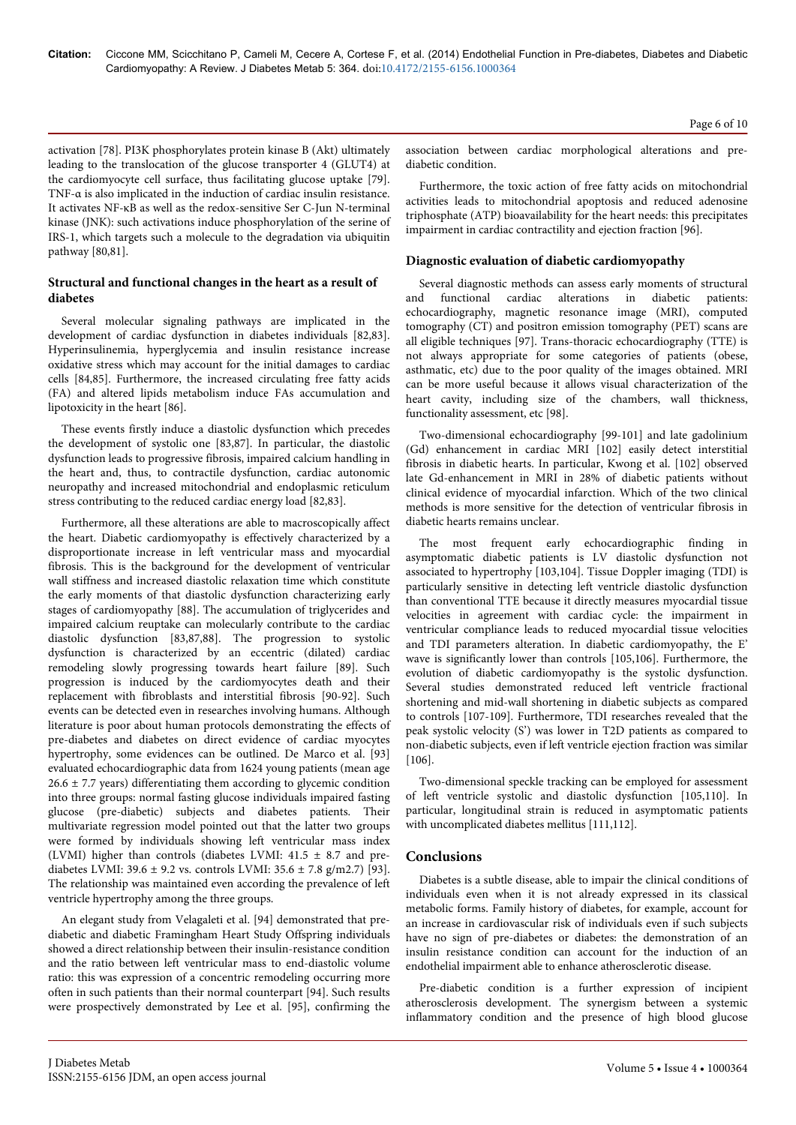**Citation:** Ciccone MM, Scicchitano P, Cameli M, Cecere A, Cortese F, et al. (2014) Endothelial Function in Pre-diabetes, Diabetes and Diabetic Cardiomyopathy: A Review. J Diabetes Metab 5: 364. doi:10.4172/2155-6156.1000364

activation [78]. PI3K phosphorylates protein kinase B (Akt) ultimately leading to the translocation of the glucose transporter 4 (GLUT4) at the cardiomyocyte cell surface, thus facilitating glucose uptake [79]. TNF-α is also implicated in the induction of cardiac insulin resistance. It activates NF-κB as well as the redox-sensitive Ser C-Jun N-terminal kinase (JNK): such activations induce phosphorylation of the serine of IRS-1, which targets such a molecule to the degradation via ubiquitin pathway [80,81].

## **Structural and functional changes in the heart as a result of diabetes**

Several molecular signaling pathways are implicated in the development of cardiac dysfunction in diabetes individuals [82,83]. Hyperinsulinemia, hyperglycemia and insulin resistance increase oxidative stress which may account for the initial damages to cardiac cells [84,85]. Furthermore, the increased circulating free fatty acids (FA) and altered lipids metabolism induce FAs accumulation and lipotoxicity in the heart [86].

These events firstly induce a diastolic dysfunction which precedes the development of systolic one [83,87]. In particular, the diastolic dysfunction leads to progressive fibrosis, impaired calcium handling in the heart and, thus, to contractile dysfunction, cardiac autonomic neuropathy and increased mitochondrial and endoplasmic reticulum stress contributing to the reduced cardiac energy load [82,83].

Furthermore, all these alterations are able to macroscopically affect the heart. Diabetic cardiomyopathy is effectively characterized by a disproportionate increase in left ventricular mass and myocardial fibrosis. This is the background for the development of ventricular wall stiffness and increased diastolic relaxation time which constitute the early moments of that diastolic dysfunction characterizing early stages of cardiomyopathy [88]. The accumulation of triglycerides and impaired calcium reuptake can molecularly contribute to the cardiac diastolic dysfunction [83,87,88]. The progression to systolic dysfunction is characterized by an eccentric (dilated) cardiac remodeling slowly progressing towards heart failure [89]. Such progression is induced by the cardiomyocytes death and their replacement with fibroblasts and interstitial fibrosis [90-92]. Such events can be detected even in researches involving humans. Although literature is poor about human protocols demonstrating the effects of pre-diabetes and diabetes on direct evidence of cardiac myocytes hypertrophy, some evidences can be outlined. De Marco et al. [93] evaluated echocardiographic data from 1624 young patients (mean age  $26.6 \pm 7.7$  years) differentiating them according to glycemic condition into three groups: normal fasting glucose individuals impaired fasting glucose (pre-diabetic) subjects and diabetes patients. Their multivariate regression model pointed out that the latter two groups were formed by individuals showing left ventricular mass index (LVMI) higher than controls (diabetes LVMI:  $41.5 \pm 8.7$  and prediabetes LVMI:  $39.6 \pm 9.2$  vs. controls LVMI:  $35.6 \pm 7.8$  g/m2.7) [93]. The relationship was maintained even according the prevalence of left ventricle hypertrophy among the three groups.

An elegant study from Velagaleti et al. [94] demonstrated that prediabetic and diabetic Framingham Heart Study Offspring individuals showed a direct relationship between their insulin-resistance condition and the ratio between left ventricular mass to end-diastolic volume ratio: this was expression of a concentric remodeling occurring more often in such patients than their normal counterpart [94]. Such results were prospectively demonstrated by Lee et al. [95], confirming the association between cardiac morphological alterations and prediabetic condition.

Furthermore, the toxic action of free fatty acids on mitochondrial activities leads to mitochondrial apoptosis and reduced adenosine triphosphate (ATP) bioavailability for the heart needs: this precipitates impairment in cardiac contractility and ejection fraction [96].

#### **Diagnostic evaluation of diabetic cardiomyopathy**

Several diagnostic methods can assess early moments of structural and functional cardiac alterations in diabetic patients: echocardiography, magnetic resonance image (MRI), computed tomography (CT) and positron emission tomography (PET) scans are all eligible techniques [97]. Trans-thoracic echocardiography (TTE) is not always appropriate for some categories of patients (obese, asthmatic, etc) due to the poor quality of the images obtained. MRI can be more useful because it allows visual characterization of the heart cavity, including size of the chambers, wall thickness, functionality assessment, etc [98].

Two-dimensional echocardiography [99-101] and late gadolinium (Gd) enhancement in cardiac MRI [102] easily detect interstitial fibrosis in diabetic hearts. In particular, Kwong et al. [102] observed late Gd-enhancement in MRI in 28% of diabetic patients without clinical evidence of myocardial infarction. Which of the two clinical methods is more sensitive for the detection of ventricular fibrosis in diabetic hearts remains unclear.

The most frequent early echocardiographic finding in asymptomatic diabetic patients is LV diastolic dysfunction not associated to hypertrophy [103,104]. Tissue Doppler imaging (TDI) is particularly sensitive in detecting left ventricle diastolic dysfunction than conventional TTE because it directly measures myocardial tissue velocities in agreement with cardiac cycle: the impairment in ventricular compliance leads to reduced myocardial tissue velocities and TDI parameters alteration. In diabetic cardiomyopathy, the E' wave is significantly lower than controls [105,106]. Furthermore, the evolution of diabetic cardiomyopathy is the systolic dysfunction. Several studies demonstrated reduced left ventricle fractional shortening and mid-wall shortening in diabetic subjects as compared to controls [107-109]. Furthermore, TDI researches revealed that the peak systolic velocity (S') was lower in T2D patients as compared to non-diabetic subjects, even if left ventricle ejection fraction was similar [106].

Two-dimensional speckle tracking can be employed for assessment of left ventricle systolic and diastolic dysfunction [105,110]. In particular, longitudinal strain is reduced in asymptomatic patients with uncomplicated diabetes mellitus [111,112].

# **Conclusions**

Diabetes is a subtle disease, able to impair the clinical conditions of individuals even when it is not already expressed in its classical metabolic forms. Family history of diabetes, for example, account for an increase in cardiovascular risk of individuals even if such subjects have no sign of pre-diabetes or diabetes: the demonstration of an insulin resistance condition can account for the induction of an endothelial impairment able to enhance atherosclerotic disease.

Pre-diabetic condition is a further expression of incipient atherosclerosis development. The synergism between a systemic inflammatory condition and the presence of high blood glucose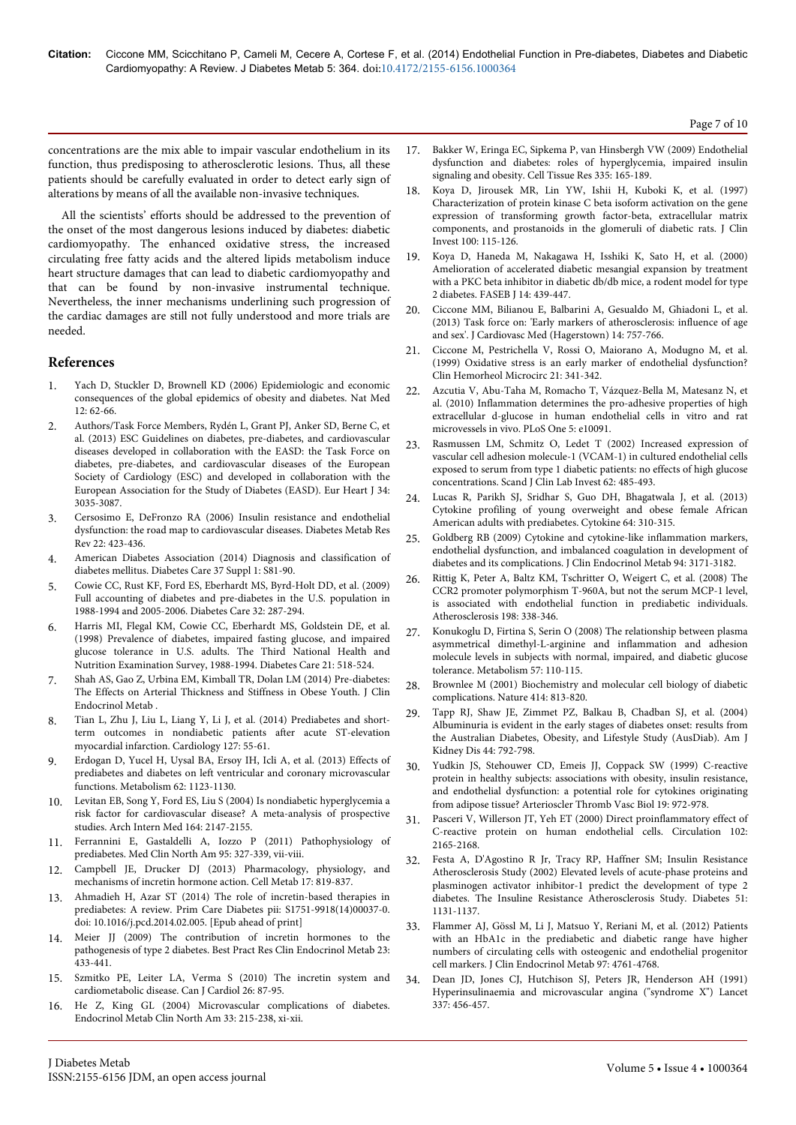concentrations are the mix able to impair vascular endothelium in its function, thus predisposing to atherosclerotic lesions. Thus, all these patients should be carefully evaluated in order to detect early sign of alterations by means of all the available non-invasive techniques.

All the scientists' efforts should be addressed to the prevention of the onset of the most dangerous lesions induced by diabetes: diabetic cardiomyopathy. The enhanced oxidative stress, the increased circulating free fatty acids and the altered lipids metabolism induce heart structure damages that can lead to diabetic cardiomyopathy and that can be found by non-invasive instrumental technique. Nevertheless, the inner mechanisms underlining such progression of the cardiac damages are still not fully understood and more trials are needed.

### **References**

- [Yach D, Stuckler D, Brownell KD \(2006\) Epidemiologic and economic](http://www.ncbi.nlm.nih.gov/pubmed/16397571) [consequences of the global epidemics of obesity and diabetes. Nat Med](http://www.ncbi.nlm.nih.gov/pubmed/16397571) [12: 62-66.](http://www.ncbi.nlm.nih.gov/pubmed/16397571)
- 2. [Authors/Task Force Members, Rydén L, Grant PJ, Anker SD, Berne C, et](http://www.ncbi.nlm.nih.gov/pubmed/23996285) [al. \(2013\) ESC Guidelines on diabetes, pre-diabetes, and cardiovascular](http://www.ncbi.nlm.nih.gov/pubmed/23996285) [diseases developed in collaboration with the EASD: the Task Force on](http://www.ncbi.nlm.nih.gov/pubmed/23996285) [diabetes, pre-diabetes, and cardiovascular diseases of the European](http://www.ncbi.nlm.nih.gov/pubmed/23996285) [Society of Cardiology \(ESC\) and developed in collaboration with the](http://www.ncbi.nlm.nih.gov/pubmed/23996285) [European Association for the Study of Diabetes \(EASD\). Eur Heart J 34:](http://www.ncbi.nlm.nih.gov/pubmed/23996285) [3035-3087.](http://www.ncbi.nlm.nih.gov/pubmed/23996285)
- 3. [Cersosimo E, DeFronzo RA \(2006\) Insulin resistance and endothelial](http://www.ncbi.nlm.nih.gov/pubmed/16506274) [dysfunction: the road map to cardiovascular diseases. Diabetes Metab Res](http://www.ncbi.nlm.nih.gov/pubmed/16506274) [Rev 22: 423-436.](http://www.ncbi.nlm.nih.gov/pubmed/16506274)
- 4. [American Diabetes Association \(2014\) Diagnosis and classification of](http://www.ncbi.nlm.nih.gov/pubmed/24357215) [diabetes mellitus. Diabetes Care 37 Suppl 1: S81-90.](http://www.ncbi.nlm.nih.gov/pubmed/24357215)
- 5. [Cowie CC, Rust KF, Ford ES, Eberhardt MS, Byrd-Holt DD, et al. \(2009\)](http://www.ncbi.nlm.nih.gov/pubmed/19017771) [Full accounting of diabetes and pre-diabetes in the U.S. population in](http://www.ncbi.nlm.nih.gov/pubmed/19017771) [1988-1994 and 2005-2006. Diabetes Care 32: 287-294.](http://www.ncbi.nlm.nih.gov/pubmed/19017771)
- 6. [Harris MI, Flegal KM, Cowie CC, Eberhardt MS, Goldstein DE, et al.](http://www.ncbi.nlm.nih.gov/pubmed/9571335) [\(1998\) Prevalence of diabetes, impaired fasting glucose, and impaired](http://www.ncbi.nlm.nih.gov/pubmed/9571335) [glucose tolerance in U.S. adults. The Third National Health and](http://www.ncbi.nlm.nih.gov/pubmed/9571335) [Nutrition Examination Survey, 1988-1994. Diabetes Care 21: 518-524.](http://www.ncbi.nlm.nih.gov/pubmed/9571335)
- 7. [Shah AS, Gao Z, Urbina EM, Kimball TR, Dolan LM \(2014\) Pre-diabetes:](http://www.ncbi.nlm.nih.gov/pubmed/24423349) [The Effects on Arterial Thickness and Stiffness in Obese Youth. J Clin](http://www.ncbi.nlm.nih.gov/pubmed/24423349) [Endocrinol Metab .](http://www.ncbi.nlm.nih.gov/pubmed/24423349)
- 8. [Tian L, Zhu J, Liu L, Liang Y, Li J, et al. \(2014\) Prediabetes and short](http://www.ncbi.nlm.nih.gov/pubmed/24247598)[term outcomes in nondiabetic patients after acute ST-elevation](http://www.ncbi.nlm.nih.gov/pubmed/24247598) [myocardial infarction. Cardiology 127: 55-61.](http://www.ncbi.nlm.nih.gov/pubmed/24247598)
- 9. [Erdogan D, Yucel H, Uysal BA, Ersoy IH, Icli A, et al. \(2013\) Effects of](http://www.ncbi.nlm.nih.gov/pubmed/23557591) [prediabetes and diabetes on left ventricular and coronary microvascular](http://www.ncbi.nlm.nih.gov/pubmed/23557591) [functions. Metabolism 62: 1123-1130.](http://www.ncbi.nlm.nih.gov/pubmed/23557591)
- 10. [Levitan EB, Song Y, Ford ES, Liu S \(2004\) Is nondiabetic hyperglycemia a](http://www.ncbi.nlm.nih.gov/pubmed/15505129) [risk factor for cardiovascular disease? A meta-analysis of prospective](http://www.ncbi.nlm.nih.gov/pubmed/15505129) [studies. Arch Intern Med 164: 2147-2155.](http://www.ncbi.nlm.nih.gov/pubmed/15505129)
- 11. [Ferrannini E, Gastaldelli A, Iozzo P \(2011\) Pathophysiology of](http://www.ncbi.nlm.nih.gov/pubmed/21281836) [prediabetes. Med Clin North Am 95: 327-339, vii-viii.](http://www.ncbi.nlm.nih.gov/pubmed/21281836)
- 12. [Campbell JE, Drucker DJ \(2013\) Pharmacology, physiology, and](http://www.ncbi.nlm.nih.gov/pubmed/23684623) [mechanisms of incretin hormone action. Cell Metab 17: 819-837.](http://www.ncbi.nlm.nih.gov/pubmed/23684623)
- 13. [Ahmadieh H, Azar ST \(2014\) The role of incretin-based therapies in](http://www.ncbi.nlm.nih.gov/pubmed/24666932) [prediabetes: A review. Prim Care Diabetes pii: S1751-9918\(14\)00037-0.](http://www.ncbi.nlm.nih.gov/pubmed/24666932) doi: 10.1016/j.pcd.2014.02.005. [Epub ahead of print]
- 14. [Meier JJ \(2009\) The contribution of incretin hormones to the](http://www.ncbi.nlm.nih.gov/pubmed/19748061) [pathogenesis of type 2 diabetes. Best Pract Res Clin Endocrinol Metab 23:](http://www.ncbi.nlm.nih.gov/pubmed/19748061) [433-441.](http://www.ncbi.nlm.nih.gov/pubmed/19748061)
- 15. [Szmitko PE, Leiter LA, Verma S \(2010\) The incretin system and](http://www.ncbi.nlm.nih.gov/pubmed/20151054) [cardiometabolic disease. Can J Cardiol 26: 87-95.](http://www.ncbi.nlm.nih.gov/pubmed/20151054)
- 16. [He Z, King GL \(2004\) Microvascular complications of diabetes.](http://www.ncbi.nlm.nih.gov/pubmed/15053904) [Endocrinol Metab Clin North Am 33: 215-238, xi-xii.](http://www.ncbi.nlm.nih.gov/pubmed/15053904)
- 17. [Bakker W, Eringa EC, Sipkema P, van Hinsbergh VW \(2009\) Endothelial](http://www.ncbi.nlm.nih.gov/pubmed/18941783) [dysfunction and diabetes: roles of hyperglycemia, impaired insulin](http://www.ncbi.nlm.nih.gov/pubmed/18941783) [signaling and obesity. Cell Tissue Res 335: 165-189.](http://www.ncbi.nlm.nih.gov/pubmed/18941783)
- 18. [Koya D, Jirousek MR, Lin YW, Ishii H, Kuboki K, et al. \(1997\)](http://www.ncbi.nlm.nih.gov/pubmed/9202063) [Characterization of protein kinase C beta isoform activation on the gene](http://www.ncbi.nlm.nih.gov/pubmed/9202063) [expression of transforming growth factor-beta, extracellular matrix](http://www.ncbi.nlm.nih.gov/pubmed/9202063) [components, and prostanoids in the glomeruli of diabetic rats. J Clin](http://www.ncbi.nlm.nih.gov/pubmed/9202063) [Invest 100: 115-126.](http://www.ncbi.nlm.nih.gov/pubmed/9202063)
- 19. [Koya D, Haneda M, Nakagawa H, Isshiki K, Sato H, et al. \(2000\)](http://www.ncbi.nlm.nih.gov/pubmed/10698958) [Amelioration of accelerated diabetic mesangial expansion by treatment](http://www.ncbi.nlm.nih.gov/pubmed/10698958) [with a PKC beta inhibitor in diabetic db/db mice, a rodent model for type](http://www.ncbi.nlm.nih.gov/pubmed/10698958) [2 diabetes. FASEB J 14: 439-447.](http://www.ncbi.nlm.nih.gov/pubmed/10698958)
- [Ciccone MM, Bilianou E, Balbarini A, Gesualdo M, Ghiadoni L, et al.](http://www.ncbi.nlm.nih.gov/pubmed/24335886) [\(2013\) Task force on: 'Early markers of atherosclerosis: influence of age](http://www.ncbi.nlm.nih.gov/pubmed/24335886) [and sex'. J Cardiovasc Med \(Hagerstown\) 14: 757-766.](http://www.ncbi.nlm.nih.gov/pubmed/24335886)
- 21. [Ciccone M, Pestrichella V, Rossi O, Maiorano A, Modugno M, et al.](http://www.ncbi.nlm.nih.gov/pubmed/10711767) [\(1999\) Oxidative stress is an early marker of endothelial dysfunction?](http://www.ncbi.nlm.nih.gov/pubmed/10711767) [Clin Hemorheol Microcirc 21: 341-342.](http://www.ncbi.nlm.nih.gov/pubmed/10711767)
- 22. [Azcutia V, Abu-Taha M, Romacho T, Vázquez-Bella M, Matesanz N, et](http://www.ncbi.nlm.nih.gov/pubmed/20386708) [al. \(2010\) Inflammation determines the pro-adhesive properties of high](http://www.ncbi.nlm.nih.gov/pubmed/20386708) [extracellular d-glucose in human endothelial cells in vitro and rat](http://www.ncbi.nlm.nih.gov/pubmed/20386708) [microvessels in vivo. PLoS One 5: e10091.](http://www.ncbi.nlm.nih.gov/pubmed/20386708)
- [Rasmussen LM, Schmitz O, Ledet T \(2002\) Increased expression of](http://www.ncbi.nlm.nih.gov/pubmed/12512738) [vascular cell adhesion molecule-1 \(VCAM-1\) in cultured endothelial cells](http://www.ncbi.nlm.nih.gov/pubmed/12512738) [exposed to serum from type 1 diabetic patients: no effects of high glucose](http://www.ncbi.nlm.nih.gov/pubmed/12512738) [concentrations. Scand J Clin Lab Invest 62: 485-493.](http://www.ncbi.nlm.nih.gov/pubmed/12512738)
- 24. [Lucas R, Parikh SJ, Sridhar S, Guo DH, Bhagatwala J, et al. \(2013\)](http://www.ncbi.nlm.nih.gov/pubmed/23769592) [Cytokine profiling of young overweight and obese female African](http://www.ncbi.nlm.nih.gov/pubmed/23769592) [American adults with prediabetes. Cytokine 64: 310-315.](http://www.ncbi.nlm.nih.gov/pubmed/23769592)
- 25. [Goldberg RB \(2009\) Cytokine and cytokine-like inflammation markers,](http://www.ncbi.nlm.nih.gov/pubmed/19509100) [endothelial dysfunction, and imbalanced coagulation in development of](http://www.ncbi.nlm.nih.gov/pubmed/19509100) [diabetes and its complications. J Clin Endocrinol Metab 94: 3171-3182.](http://www.ncbi.nlm.nih.gov/pubmed/19509100)
- 26. [Rittig K, Peter A, Baltz KM, Tschritter O, Weigert C, et al. \(2008\) The](http://www.ncbi.nlm.nih.gov/pubmed/18096169) [CCR2 promoter polymorphism T-960A, but not the serum MCP-1 level,](http://www.ncbi.nlm.nih.gov/pubmed/18096169) [is associated with endothelial function in prediabetic individuals.](http://www.ncbi.nlm.nih.gov/pubmed/18096169) [Atherosclerosis 198: 338-346.](http://www.ncbi.nlm.nih.gov/pubmed/18096169)
- 27. [Konukoglu D, Firtina S, Serin O \(2008\) The relationship between plasma](http://www.ncbi.nlm.nih.gov/pubmed/18078867) [asymmetrical dimethyl-L-arginine and inflammation and adhesion](http://www.ncbi.nlm.nih.gov/pubmed/18078867) [molecule levels in subjects with normal, impaired, and diabetic glucose](http://www.ncbi.nlm.nih.gov/pubmed/18078867) [tolerance. Metabolism 57: 110-115.](http://www.ncbi.nlm.nih.gov/pubmed/18078867)
- 28. [Brownlee M \(2001\) Biochemistry and molecular cell biology of diabetic](http://www.ncbi.nlm.nih.gov/pubmed/11742414) [complications. Nature 414: 813-820.](http://www.ncbi.nlm.nih.gov/pubmed/11742414)
- 29. [Tapp RJ, Shaw JE, Zimmet PZ, Balkau B, Chadban SJ, et al. \(2004\)](http://www.ncbi.nlm.nih.gov/pubmed/15492944) [Albuminuria is evident in the early stages of diabetes onset: results from](http://www.ncbi.nlm.nih.gov/pubmed/15492944) [the Australian Diabetes, Obesity, and Lifestyle Study \(AusDiab\). Am J](http://www.ncbi.nlm.nih.gov/pubmed/15492944) [Kidney Dis 44: 792-798.](http://www.ncbi.nlm.nih.gov/pubmed/15492944)
- 30. [Yudkin JS, Stehouwer CD, Emeis JJ, Coppack SW \(1999\) C-reactive](http://www.ncbi.nlm.nih.gov/pubmed/10195925) [protein in healthy subjects: associations with obesity, insulin resistance,](http://www.ncbi.nlm.nih.gov/pubmed/10195925) [and endothelial dysfunction: a potential role for cytokines originating](http://www.ncbi.nlm.nih.gov/pubmed/10195925) [from adipose tissue? Arterioscler Thromb Vasc Biol 19: 972-978.](http://www.ncbi.nlm.nih.gov/pubmed/10195925)
- 31. [Pasceri V, Willerson JT, Yeh ET \(2000\) Direct proinflammatory effect of](http://www.ncbi.nlm.nih.gov/pubmed/11056086) [C-reactive protein on human endothelial cells. Circulation 102:](http://www.ncbi.nlm.nih.gov/pubmed/11056086) [2165-2168.](http://www.ncbi.nlm.nih.gov/pubmed/11056086)
- 32. [Festa A, D'Agostino R Jr, Tracy RP, Haffner SM; Insulin Resistance](http://www.ncbi.nlm.nih.gov/pubmed/11916936) [Atherosclerosis Study \(2002\) Elevated levels of acute-phase proteins and](http://www.ncbi.nlm.nih.gov/pubmed/11916936) [plasminogen activator inhibitor-1 predict the development of type 2](http://www.ncbi.nlm.nih.gov/pubmed/11916936) [diabetes. The Insuline Resistance Atherosclerosis Study. Diabetes 51:](http://www.ncbi.nlm.nih.gov/pubmed/11916936) [1131-1137.](http://www.ncbi.nlm.nih.gov/pubmed/11916936)
- 33. [Flammer AJ, Gössl M, Li J, Matsuo Y, Reriani M, et al. \(2012\) Patients](http://www.ncbi.nlm.nih.gov/pubmed/23015657) [with an HbA1c in the prediabetic and diabetic range have higher](http://www.ncbi.nlm.nih.gov/pubmed/23015657) [numbers of circulating cells with osteogenic and endothelial progenitor](http://www.ncbi.nlm.nih.gov/pubmed/23015657) [cell markers. J Clin Endocrinol Metab 97: 4761-4768.](http://www.ncbi.nlm.nih.gov/pubmed/23015657)
- 34. [Dean JD, Jones CJ, Hutchison SJ, Peters JR, Henderson AH \(1991\)](http://www.ncbi.nlm.nih.gov/pubmed/1671472) [Hyperinsulinaemia and microvascular angina \("syndrome X"\) Lancet](http://www.ncbi.nlm.nih.gov/pubmed/1671472) [337: 456-457.](http://www.ncbi.nlm.nih.gov/pubmed/1671472)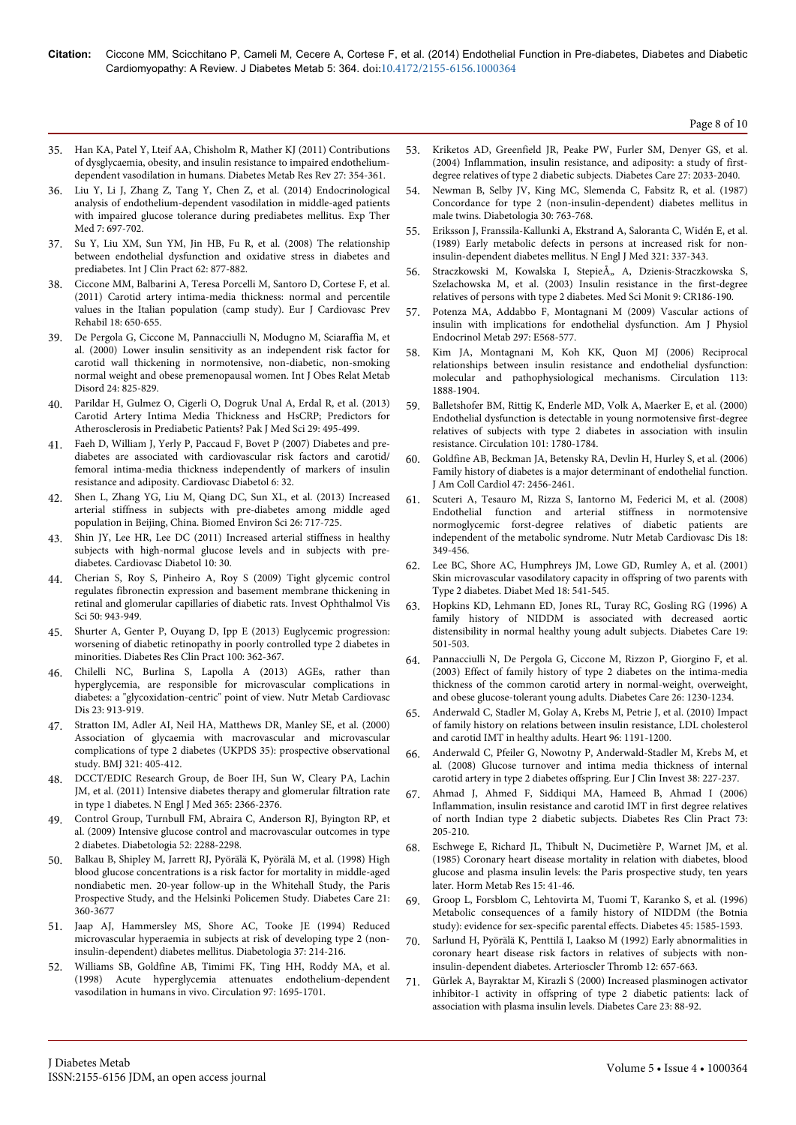Page 8 of 10

- 35. [Han KA, Patel Y, Lteif AA, Chisholm R, Mather KJ \(2011\) Contributions](http://www.ncbi.nlm.nih.gov/pubmed/21309061) [of dysglycaemia, obesity, and insulin resistance to impaired endothelium](http://www.ncbi.nlm.nih.gov/pubmed/21309061)[dependent vasodilation in humans. Diabetes Metab Res Rev 27: 354-361.](http://www.ncbi.nlm.nih.gov/pubmed/21309061)
- 36. [Liu Y, Li J, Zhang Z, Tang Y, Chen Z, et al. \(2014\) Endocrinological](http://www.ncbi.nlm.nih.gov/pubmed/24520270) [analysis of endothelium-dependent vasodilation in middle-aged patients](http://www.ncbi.nlm.nih.gov/pubmed/24520270) [with impaired glucose tolerance during prediabetes mellitus. Exp Ther](http://www.ncbi.nlm.nih.gov/pubmed/24520270) [Med 7: 697-702.](http://www.ncbi.nlm.nih.gov/pubmed/24520270)
- 37. [Su Y, Liu XM, Sun YM, Jin HB, Fu R, et al. \(2008\) The relationship](http://www.ncbi.nlm.nih.gov/pubmed/18479281) [between endothelial dysfunction and oxidative stress in diabetes and](http://www.ncbi.nlm.nih.gov/pubmed/18479281) [prediabetes. Int J Clin Pract 62: 877-882.](http://www.ncbi.nlm.nih.gov/pubmed/18479281)
- 38. [Ciccone MM, Balbarini A, Teresa Porcelli M, Santoro D, Cortese F, et al.](http://www.ncbi.nlm.nih.gov/pubmed/21450588) [\(2011\) Carotid artery intima-media thickness: normal and percentile](http://www.ncbi.nlm.nih.gov/pubmed/21450588) [values in the Italian population \(camp study\). Eur J Cardiovasc Prev](http://www.ncbi.nlm.nih.gov/pubmed/21450588) [Rehabil 18: 650-655.](http://www.ncbi.nlm.nih.gov/pubmed/21450588)
- 39. [De Pergola G, Ciccone M, Pannacciulli N, Modugno M, Sciaraffia M, et](http://www.ncbi.nlm.nih.gov/pubmed/10918528) [al. \(2000\) Lower insulin sensitivity as an independent risk factor for](http://www.ncbi.nlm.nih.gov/pubmed/10918528) [carotid wall thickening in normotensive, non-diabetic, non-smoking](http://www.ncbi.nlm.nih.gov/pubmed/10918528) [normal weight and obese premenopausal women. Int J Obes Relat Metab](http://www.ncbi.nlm.nih.gov/pubmed/10918528) [Disord 24: 825-829.](http://www.ncbi.nlm.nih.gov/pubmed/10918528)
- 40. [Parildar H, Gulmez O, Cigerli O, Dogruk Unal A, Erdal R, et al. \(2013\)](http://www.ncbi.nlm.nih.gov/pubmed/24353563) [Carotid Artery Intima Media Thickness and HsCRP; Predictors for](http://www.ncbi.nlm.nih.gov/pubmed/24353563) [Atherosclerosis in Prediabetic Patients? Pak J Med Sci 29: 495-499.](http://www.ncbi.nlm.nih.gov/pubmed/24353563)
- 41. [Faeh D, William J, Yerly P, Paccaud F, Bovet P \(2007\) Diabetes and pre](http://www.ncbi.nlm.nih.gov/pubmed/17958881)[diabetes are associated with cardiovascular risk factors and carotid/](http://www.ncbi.nlm.nih.gov/pubmed/17958881) [femoral intima-media thickness independently of markers of insulin](http://www.ncbi.nlm.nih.gov/pubmed/17958881) [resistance and adiposity. Cardiovasc Diabetol 6: 32.](http://www.ncbi.nlm.nih.gov/pubmed/17958881)
- 42. [Shen L, Zhang YG, Liu M, Qiang DC, Sun XL, et al. \(2013\) Increased](http://www.ncbi.nlm.nih.gov/pubmed/24099605) [arterial stiffness in subjects with pre-diabetes among middle aged](http://www.ncbi.nlm.nih.gov/pubmed/24099605) [population in Beijing, China. Biomed Environ Sci 26: 717-725.](http://www.ncbi.nlm.nih.gov/pubmed/24099605)
- 43. [Shin JY, Lee HR, Lee DC \(2011\) Increased arterial stiffness in healthy](http://www.ncbi.nlm.nih.gov/pubmed/21492487) [subjects with high-normal glucose levels and in subjects with pre](http://www.ncbi.nlm.nih.gov/pubmed/21492487)[diabetes. Cardiovasc Diabetol 10: 30.](http://www.ncbi.nlm.nih.gov/pubmed/21492487)
- 44. [Cherian S, Roy S, Pinheiro A, Roy S \(2009\) Tight glycemic control](http://www.ncbi.nlm.nih.gov/pubmed/18775856) [regulates fibronectin expression and basement membrane thickening in](http://www.ncbi.nlm.nih.gov/pubmed/18775856) [retinal and glomerular capillaries of diabetic rats. Invest Ophthalmol Vis](http://www.ncbi.nlm.nih.gov/pubmed/18775856) [Sci 50: 943-949.](http://www.ncbi.nlm.nih.gov/pubmed/18775856)
- 45. [Shurter A, Genter P, Ouyang D, Ipp E \(2013\) Euglycemic progression:](http://www.ncbi.nlm.nih.gov/pubmed/23566652) [worsening of diabetic retinopathy in poorly controlled type 2 diabetes in](http://www.ncbi.nlm.nih.gov/pubmed/23566652) [minorities. Diabetes Res Clin Pract 100: 362-367.](http://www.ncbi.nlm.nih.gov/pubmed/23566652)
- 46. [Chilelli NC, Burlina S, Lapolla A \(2013\) AGEs, rather than](http://www.ncbi.nlm.nih.gov/pubmed/23786818) [hyperglycemia, are responsible for microvascular complications in](http://www.ncbi.nlm.nih.gov/pubmed/23786818) [diabetes: a "glycoxidation-centric" point of view. Nutr Metab Cardiovasc](http://www.ncbi.nlm.nih.gov/pubmed/23786818) [Dis 23: 913-919.](http://www.ncbi.nlm.nih.gov/pubmed/23786818)
- 47. [Stratton IM, Adler AI, Neil HA, Matthews DR, Manley SE, et al. \(2000\)](http://www.ncbi.nlm.nih.gov/pubmed/10938048) [Association of glycaemia with macrovascular and microvascular](http://www.ncbi.nlm.nih.gov/pubmed/10938048) [complications of type 2 diabetes \(UKPDS 35\): prospective observational](http://www.ncbi.nlm.nih.gov/pubmed/10938048) [study. BMJ 321: 405-412.](http://www.ncbi.nlm.nih.gov/pubmed/10938048)
- 48. [DCCT/EDIC Research Group, de Boer IH, Sun W, Cleary PA, Lachin](http://www.ncbi.nlm.nih.gov/pubmed/22077236) [JM, et al. \(2011\) Intensive diabetes therapy and glomerular filtration rate](http://www.ncbi.nlm.nih.gov/pubmed/22077236) [in type 1 diabetes. N Engl J Med 365: 2366-2376.](http://www.ncbi.nlm.nih.gov/pubmed/22077236)
- 49. [Control Group, Turnbull FM, Abraira C, Anderson RJ, Byington RP, et](http://www.ncbi.nlm.nih.gov/pubmed/19655124) [al. \(2009\) Intensive glucose control and macrovascular outcomes in type](http://www.ncbi.nlm.nih.gov/pubmed/19655124) [2 diabetes. Diabetologia 52: 2288-2298.](http://www.ncbi.nlm.nih.gov/pubmed/19655124)
- 50. [Balkau B, Shipley M, Jarrett RJ, Pyörälä K, Pyörälä M, et al. \(1998\) High](http://www.ncbi.nlm.nih.gov/pubmed/9540016) [blood glucose concentrations is a risk factor for mortality in middle-aged](http://www.ncbi.nlm.nih.gov/pubmed/9540016) [nondiabetic men. 20-year follow-up in the Whitehall Study, the Paris](http://www.ncbi.nlm.nih.gov/pubmed/9540016) [Prospective Study, and the Helsinki Policemen Study. Diabetes Care 21:](http://www.ncbi.nlm.nih.gov/pubmed/9540016) [360-3677](http://www.ncbi.nlm.nih.gov/pubmed/9540016)
- 51. [Jaap AJ, Hammersley MS, Shore AC, Tooke JE \(1994\) Reduced](http://www.ncbi.nlm.nih.gov/pubmed/8163058) [microvascular hyperaemia in subjects at risk of developing type 2 \(non](http://www.ncbi.nlm.nih.gov/pubmed/8163058)[insulin-dependent\) diabetes mellitus. Diabetologia 37: 214-216.](http://www.ncbi.nlm.nih.gov/pubmed/8163058)
- 52. [Williams SB, Goldfine AB, Timimi FK, Ting HH, Roddy MA, et al.](http://www.ncbi.nlm.nih.gov/pubmed/9591763) [\(1998\) Acute hyperglycemia attenuates endothelium-dependent](http://www.ncbi.nlm.nih.gov/pubmed/9591763) [vasodilation in humans in vivo. Circulation 97: 1695-1701.](http://www.ncbi.nlm.nih.gov/pubmed/9591763)
- 53. [Kriketos AD, Greenfield JR, Peake PW, Furler SM, Denyer GS, et al.](http://www.ncbi.nlm.nih.gov/pubmed/15277436) [\(2004\) Inflammation, insulin resistance, and adiposity: a study of first](http://www.ncbi.nlm.nih.gov/pubmed/15277436)[degree relatives of type 2 diabetic subjects. Diabetes Care 27: 2033-2040.](http://www.ncbi.nlm.nih.gov/pubmed/15277436)
- 54. [Newman B, Selby JV, King MC, Slemenda C, Fabsitz R, et al. \(1987\)](http://www.ncbi.nlm.nih.gov/pubmed/3428496) [Concordance for type 2 \(non-insulin-dependent\) diabetes mellitus in](http://www.ncbi.nlm.nih.gov/pubmed/3428496) [male twins. Diabetologia 30: 763-768.](http://www.ncbi.nlm.nih.gov/pubmed/3428496)
- 55. [Eriksson J, Franssila-Kallunki A, Ekstrand A, Saloranta C, Widén E, et al.](http://www.ncbi.nlm.nih.gov/pubmed/2664520) [\(1989\) Early metabolic defects in persons at increased risk for non](http://www.ncbi.nlm.nih.gov/pubmed/2664520)[insulin-dependent diabetes mellitus. N Engl J Med 321: 337-343.](http://www.ncbi.nlm.nih.gov/pubmed/2664520)
- 56. Straczkowski M, Kowalska I, StepieÅ,, A, Dzienis-Straczkowska S, [Szelachowska M, et al. \(2003\) Insulin resistance in the first-degree](http://www.ncbi.nlm.nih.gov/pubmed/12761455) [relatives of persons with type 2 diabetes. Med Sci Monit 9: CR186-190.](http://www.ncbi.nlm.nih.gov/pubmed/12761455)
- 57. [Potenza MA, Addabbo F, Montagnani M \(2009\) Vascular actions of](http://www.ncbi.nlm.nih.gov/pubmed/19491294) [insulin with implications for endothelial dysfunction. Am J Physiol](http://www.ncbi.nlm.nih.gov/pubmed/19491294) [Endocrinol Metab 297: E568-577.](http://www.ncbi.nlm.nih.gov/pubmed/19491294)
- 58. [Kim JA, Montagnani M, Koh KK, Quon MJ \(2006\) Reciprocal](http://www.ncbi.nlm.nih.gov/pubmed/16618833) [relationships between insulin resistance and endothelial dysfunction:](http://www.ncbi.nlm.nih.gov/pubmed/16618833) [molecular and pathophysiological mechanisms. Circulation 113:](http://www.ncbi.nlm.nih.gov/pubmed/16618833) [1888-1904.](http://www.ncbi.nlm.nih.gov/pubmed/16618833)
- 59. [Balletshofer BM, Rittig K, Enderle MD, Volk A, Maerker E, et al. \(2000\)](http://www.ncbi.nlm.nih.gov/pubmed/10769277) [Endothelial dysfunction is detectable in young normotensive first-degree](http://www.ncbi.nlm.nih.gov/pubmed/10769277) [relatives of subjects with type 2 diabetes in association with insulin](http://www.ncbi.nlm.nih.gov/pubmed/10769277) [resistance. Circulation 101: 1780-1784.](http://www.ncbi.nlm.nih.gov/pubmed/10769277)
- 60. [Goldfine AB, Beckman JA, Betensky RA, Devlin H, Hurley S, et al. \(2006\)](http://www.ncbi.nlm.nih.gov/pubmed/16781373) [Family history of diabetes is a major determinant of endothelial function.](http://www.ncbi.nlm.nih.gov/pubmed/16781373) [J Am Coll Cardiol 47: 2456-2461.](http://www.ncbi.nlm.nih.gov/pubmed/16781373)
- 61. [Scuteri A, Tesauro M, Rizza S, Iantorno M, Federici M, et al. \(2008\)](http://www.ncbi.nlm.nih.gov/pubmed/17935958) [Endothelial function and arterial stiffness in normotensive](http://www.ncbi.nlm.nih.gov/pubmed/17935958) [normoglycemic forst-degree relatives of diabetic patients are](http://www.ncbi.nlm.nih.gov/pubmed/17935958) [independent of the metabolic syndrome. Nutr Metab Cardiovasc Dis 18:](http://www.ncbi.nlm.nih.gov/pubmed/17935958) [349-456.](http://www.ncbi.nlm.nih.gov/pubmed/17935958)
- 62. [Lee BC, Shore AC, Humphreys JM, Lowe GD, Rumley A, et al. \(2001\)](http://www.ncbi.nlm.nih.gov/pubmed/11553182) [Skin microvascular vasodilatory capacity in offspring of two parents with](http://www.ncbi.nlm.nih.gov/pubmed/11553182) [Type 2 diabetes. Diabet Med 18: 541-545.](http://www.ncbi.nlm.nih.gov/pubmed/11553182)
- 63. [Hopkins KD, Lehmann ED, Jones RL, Turay RC, Gosling RG \(1996\) A](http://www.ncbi.nlm.nih.gov/pubmed/8732717) [family history of NIDDM is associated with decreased aortic](http://www.ncbi.nlm.nih.gov/pubmed/8732717) [distensibility in normal healthy young adult subjects. Diabetes Care 19:](http://www.ncbi.nlm.nih.gov/pubmed/8732717) [501-503.](http://www.ncbi.nlm.nih.gov/pubmed/8732717)
- 64. [Pannacciulli N, De Pergola G, Ciccone M, Rizzon P, Giorgino F, et al.](http://www.ncbi.nlm.nih.gov/pubmed/12663602) [\(2003\) Effect of family history of type 2 diabetes on the intima-media](http://www.ncbi.nlm.nih.gov/pubmed/12663602) [thickness of the common carotid artery in normal-weight, overweight,](http://www.ncbi.nlm.nih.gov/pubmed/12663602) [and obese glucose-tolerant young adults. Diabetes Care 26: 1230-1234.](http://www.ncbi.nlm.nih.gov/pubmed/12663602)
- 65. [Anderwald C, Stadler M, Golay A, Krebs M, Petrie J, et al. \(2010\) Impact](http://www.ncbi.nlm.nih.gov/pubmed/20639236) [of family history on relations between insulin resistance, LDL cholesterol](http://www.ncbi.nlm.nih.gov/pubmed/20639236) [and carotid IMT in healthy adults. Heart 96: 1191-1200.](http://www.ncbi.nlm.nih.gov/pubmed/20639236)
- 66. [Anderwald C, Pfeiler G, Nowotny P, Anderwald-Stadler M, Krebs M, et](http://www.ncbi.nlm.nih.gov/pubmed/18339003) [al. \(2008\) Glucose turnover and intima media thickness of internal](http://www.ncbi.nlm.nih.gov/pubmed/18339003) [carotid artery in type 2 diabetes offspring. Eur J Clin Invest 38: 227-237.](http://www.ncbi.nlm.nih.gov/pubmed/18339003)
- 67. [Ahmad J, Ahmed F, Siddiqui MA, Hameed B, Ahmad I \(2006\)](http://www.ncbi.nlm.nih.gov/pubmed/16530289) [Inflammation, insulin resistance and carotid IMT in first degree relatives](http://www.ncbi.nlm.nih.gov/pubmed/16530289) [of north Indian type 2 diabetic subjects. Diabetes Res Clin Pract 73:](http://www.ncbi.nlm.nih.gov/pubmed/16530289) [205-210.](http://www.ncbi.nlm.nih.gov/pubmed/16530289)
- 68. [Eschwege E, Richard JL, Thibult N, Ducimetière P, Warnet JM, et al.](http://www.ncbi.nlm.nih.gov/pubmed/3908280) [\(1985\) Coronary heart disease mortality in relation with diabetes, blood](http://www.ncbi.nlm.nih.gov/pubmed/3908280) [glucose and plasma insulin levels: the Paris prospective study, ten years](http://www.ncbi.nlm.nih.gov/pubmed/3908280) [later. Horm Metab Res 15: 41-46.](http://www.ncbi.nlm.nih.gov/pubmed/3908280)
- 69. [Groop L, Forsblom C, Lehtovirta M, Tuomi T, Karanko S, et al. \(1996\)](http://www.ncbi.nlm.nih.gov/pubmed/8866565) [Metabolic consequences of a family history of NIDDM \(the Botnia](http://www.ncbi.nlm.nih.gov/pubmed/8866565) [study\): evidence for sex-specific parental effects. Diabetes 45: 1585-1593.](http://www.ncbi.nlm.nih.gov/pubmed/8866565)
- 70. [Sarlund H, Pyörälä K, Penttilä I, Laakso M \(1992\) Early abnormalities in](http://www.ncbi.nlm.nih.gov/pubmed/1591229) [coronary heart disease risk factors in relatives of subjects with non](http://www.ncbi.nlm.nih.gov/pubmed/1591229)[insulin-dependent diabetes. Arterioscler Thromb 12: 657-663.](http://www.ncbi.nlm.nih.gov/pubmed/1591229)
- 71. [Gürlek A, Bayraktar M, Kirazli S \(2000\) Increased plasminogen activator](http://www.ncbi.nlm.nih.gov/pubmed/10857975) [inhibitor-1 activity in offspring of type 2 diabetic patients: lack of](http://www.ncbi.nlm.nih.gov/pubmed/10857975) [association with plasma insulin levels. Diabetes Care 23: 88-92.](http://www.ncbi.nlm.nih.gov/pubmed/10857975)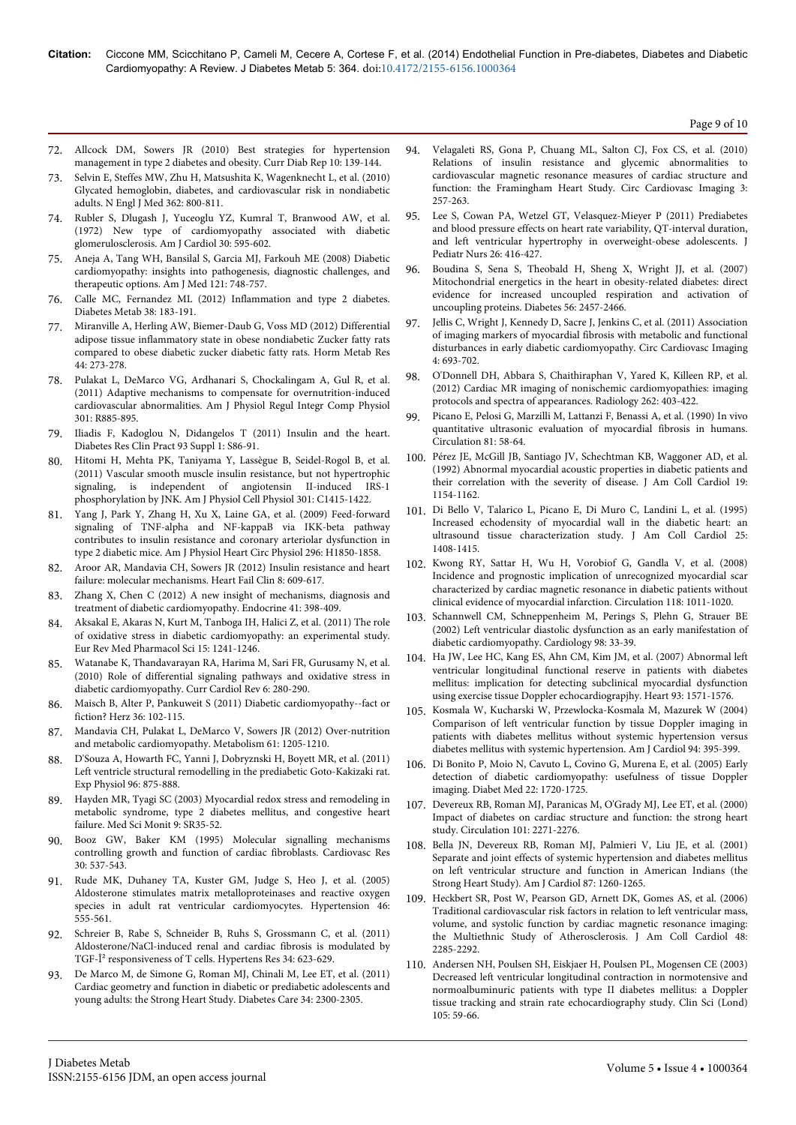Page 9 of 10

- 72. [Allcock DM, Sowers JR \(2010\) Best strategies for hypertension](http://www.ncbi.nlm.nih.gov/pubmed/20425573) [management in type 2 diabetes and obesity. Curr Diab Rep 10: 139-144.](http://www.ncbi.nlm.nih.gov/pubmed/20425573)
- 73. [Selvin E, Steffes MW, Zhu H, Matsushita K, Wagenknecht L, et al. \(2010\)](http://www.ncbi.nlm.nih.gov/pubmed/20200384) [Glycated hemoglobin, diabetes, and cardiovascular risk in nondiabetic](http://www.ncbi.nlm.nih.gov/pubmed/20200384) [adults. N Engl J Med 362: 800-811.](http://www.ncbi.nlm.nih.gov/pubmed/20200384)
- 74. [Rubler S, Dlugash J, Yuceoglu YZ, Kumral T, Branwood AW, et al.](http://www.ncbi.nlm.nih.gov/pubmed/4263660) [\(1972\) New type of cardiomyopathy associated with diabetic](http://www.ncbi.nlm.nih.gov/pubmed/4263660) [glomerulosclerosis. Am J Cardiol 30: 595-602.](http://www.ncbi.nlm.nih.gov/pubmed/4263660)
- 75. [Aneja A, Tang WH, Bansilal S, Garcia MJ, Farkouh ME \(2008\) Diabetic](http://www.ncbi.nlm.nih.gov/pubmed/18724960) [cardiomyopathy: insights into pathogenesis, diagnostic challenges, and](http://www.ncbi.nlm.nih.gov/pubmed/18724960) [therapeutic options. Am J Med 121: 748-757.](http://www.ncbi.nlm.nih.gov/pubmed/18724960)
- 76. [Calle MC, Fernandez ML \(2012\) Inflammation and type 2 diabetes.](http://www.ncbi.nlm.nih.gov/pubmed/22252015) [Diabetes Metab 38: 183-191.](http://www.ncbi.nlm.nih.gov/pubmed/22252015)
- 77. [Miranville A, Herling AW, Biemer-Daub G, Voss MD \(2012\) Differential](http://www.ncbi.nlm.nih.gov/pubmed/22399237) [adipose tissue inflammatory state in obese nondiabetic Zucker fatty rats](http://www.ncbi.nlm.nih.gov/pubmed/22399237) [compared to obese diabetic zucker diabetic fatty rats. Horm Metab Res](http://www.ncbi.nlm.nih.gov/pubmed/22399237) [44: 273-278.](http://www.ncbi.nlm.nih.gov/pubmed/22399237)
- 78. [Pulakat L, DeMarco VG, Ardhanari S, Chockalingam A, Gul R, et al.](http://www.ncbi.nlm.nih.gov/pubmed/21813874) [\(2011\) Adaptive mechanisms to compensate for overnutrition-induced](http://www.ncbi.nlm.nih.gov/pubmed/21813874) [cardiovascular abnormalities. Am J Physiol Regul Integr Comp Physiol](http://www.ncbi.nlm.nih.gov/pubmed/21813874) [301: R885-895.](http://www.ncbi.nlm.nih.gov/pubmed/21813874)
- 79. [Iliadis F, Kadoglou N, Didangelos T \(2011\) Insulin and the heart.](http://www.ncbi.nlm.nih.gov/pubmed/21864757) [Diabetes Res Clin Pract 93 Suppl 1: S86-91.](http://www.ncbi.nlm.nih.gov/pubmed/21864757)
- 80. [Hitomi H, Mehta PK, Taniyama Y, Lassègue B, Seidel-Rogol B, et al.](http://www.ncbi.nlm.nih.gov/pubmed/21900690) [\(2011\) Vascular smooth muscle insulin resistance, but not hypertrophic](http://www.ncbi.nlm.nih.gov/pubmed/21900690) [signaling, is independent of angiotensin II-induced IRS-1](http://www.ncbi.nlm.nih.gov/pubmed/21900690) [phosphorylation by JNK. Am J Physiol Cell Physiol 301: C1415-1422.](http://www.ncbi.nlm.nih.gov/pubmed/21900690)
- 81. [Yang J, Park Y, Zhang H, Xu X, Laine GA, et al. \(2009\) Feed-forward](http://www.ncbi.nlm.nih.gov/pubmed/19363130) [signaling of TNF-alpha and NF-kappaB via IKK-beta pathway](http://www.ncbi.nlm.nih.gov/pubmed/19363130) [contributes to insulin resistance and coronary arteriolar dysfunction in](http://www.ncbi.nlm.nih.gov/pubmed/19363130) [type 2 diabetic mice. Am J Physiol Heart Circ Physiol 296: H1850-1858.](http://www.ncbi.nlm.nih.gov/pubmed/19363130)
- 82. [Aroor AR, Mandavia CH, Sowers JR \(2012\) Insulin resistance and heart](http://www.ncbi.nlm.nih.gov/pubmed/22999243) [failure: molecular mechanisms. Heart Fail Clin 8: 609-617.](http://www.ncbi.nlm.nih.gov/pubmed/22999243)
- 83. [Zhang X, Chen C \(2012\) A new insight of mechanisms, diagnosis and](http://www.ncbi.nlm.nih.gov/pubmed/22322947) [treatment of diabetic cardiomyopathy. Endocrine 41: 398-409.](http://www.ncbi.nlm.nih.gov/pubmed/22322947)
- 84. [Aksakal E, Akaras N, Kurt M, Tanboga IH, Halici Z, et al. \(2011\) The role](http://www.ncbi.nlm.nih.gov/pubmed/22195355) [of oxidative stress in diabetic cardiomyopathy: an experimental study.](http://www.ncbi.nlm.nih.gov/pubmed/22195355) [Eur Rev Med Pharmacol Sci 15: 1241-1246.](http://www.ncbi.nlm.nih.gov/pubmed/22195355)
- 85. [Watanabe K, Thandavarayan RA, Harima M, Sari FR, Gurusamy N, et al.](http://www.ncbi.nlm.nih.gov/pubmed/22043204) [\(2010\) Role of differential signaling pathways and oxidative stress in](http://www.ncbi.nlm.nih.gov/pubmed/22043204) [diabetic cardiomyopathy. Curr Cardiol Rev 6: 280-290.](http://www.ncbi.nlm.nih.gov/pubmed/22043204)
- 86. [Maisch B, Alter P, Pankuweit S \(2011\) Diabetic cardiomyopathy--fact or](http://www.ncbi.nlm.nih.gov/pubmed/21424347) [fiction? Herz 36: 102-115.](http://www.ncbi.nlm.nih.gov/pubmed/21424347)
- 87. [Mandavia CH, Pulakat L, DeMarco V, Sowers JR \(2012\) Over-nutrition](http://www.ncbi.nlm.nih.gov/pubmed/22465089) [and metabolic cardiomyopathy. Metabolism 61: 1205-1210.](http://www.ncbi.nlm.nih.gov/pubmed/22465089)
- 88. [D'Souza A, Howarth FC, Yanni J, Dobryznski H, Boyett MR, et al. \(2011\)](http://www.ncbi.nlm.nih.gov/pubmed/21622965) [Left ventricle structural remodelling in the prediabetic Goto-Kakizaki rat.](http://www.ncbi.nlm.nih.gov/pubmed/21622965) [Exp Physiol 96: 875-888.](http://www.ncbi.nlm.nih.gov/pubmed/21622965)
- 89. [Hayden MR, Tyagi SC \(2003\) Myocardial redox stress and remodeling in](http://www.ncbi.nlm.nih.gov/pubmed/12883468) [metabolic syndrome, type 2 diabetes mellitus, and congestive heart](http://www.ncbi.nlm.nih.gov/pubmed/12883468) [failure. Med Sci Monit 9: SR35-52.](http://www.ncbi.nlm.nih.gov/pubmed/12883468)
- 90. [Booz GW, Baker KM \(1995\) Molecular signalling mechanisms](http://www.ncbi.nlm.nih.gov/pubmed/8575002) [controlling growth and function of cardiac fibroblasts. Cardiovasc Res](http://www.ncbi.nlm.nih.gov/pubmed/8575002) [30: 537-543.](http://www.ncbi.nlm.nih.gov/pubmed/8575002)
- 91. [Rude MK, Duhaney TA, Kuster GM, Judge S, Heo J, et al. \(2005\)](http://www.ncbi.nlm.nih.gov/pubmed/16043662) [Aldosterone stimulates matrix metalloproteinases and reactive oxygen](http://www.ncbi.nlm.nih.gov/pubmed/16043662) [species in adult rat ventricular cardiomyocytes. Hypertension 46:](http://www.ncbi.nlm.nih.gov/pubmed/16043662) [555-561.](http://www.ncbi.nlm.nih.gov/pubmed/16043662)
- 92. [Schreier B, Rabe S, Schneider B, Ruhs S, Grossmann C, et al. \(2011\)](http://www.ncbi.nlm.nih.gov/pubmed/21346767) [Aldosterone/NaCl-induced renal and cardiac fibrosis is modulated by](http://www.ncbi.nlm.nih.gov/pubmed/21346767) [TGF-β responsiveness of T cells. Hypertens Res 34: 623-629.](http://www.ncbi.nlm.nih.gov/pubmed/21346767)
- 93. [De Marco M, de Simone G, Roman MJ, Chinali M, Lee ET, et al. \(2011\)](http://www.ncbi.nlm.nih.gov/pubmed/21873564) [Cardiac geometry and function in diabetic or prediabetic adolescents and](http://www.ncbi.nlm.nih.gov/pubmed/21873564) [young adults: the Strong Heart Study. Diabetes Care 34: 2300-2305.](http://www.ncbi.nlm.nih.gov/pubmed/21873564)
- 94. [Velagaleti RS, Gona P, Chuang ML, Salton CJ, Fox CS, et al. \(2010\)](http://www.ncbi.nlm.nih.gov/pubmed/20208015) [Relations of insulin resistance and glycemic abnormalities to](http://www.ncbi.nlm.nih.gov/pubmed/20208015) [cardiovascular magnetic resonance measures of cardiac structure and](http://www.ncbi.nlm.nih.gov/pubmed/20208015) [function: the Framingham Heart Study. Circ Cardiovasc Imaging 3:](http://www.ncbi.nlm.nih.gov/pubmed/20208015) [257-263.](http://www.ncbi.nlm.nih.gov/pubmed/20208015)
- 95. [Lee S, Cowan PA, Wetzel GT, Velasquez-Mieyer P \(2011\) Prediabetes](http://www.ncbi.nlm.nih.gov/pubmed/21930028) [and blood pressure effects on heart rate variability, QT-interval duration,](http://www.ncbi.nlm.nih.gov/pubmed/21930028) [and left ventricular hypertrophy in overweight-obese adolescents. J](http://www.ncbi.nlm.nih.gov/pubmed/21930028) [Pediatr Nurs 26: 416-427.](http://www.ncbi.nlm.nih.gov/pubmed/21930028)
- 96. [Boudina S, Sena S, Theobald H, Sheng X, Wright JJ, et al. \(2007\)](http://www.ncbi.nlm.nih.gov/pubmed/17623815) [Mitochondrial energetics in the heart in obesity-related diabetes: direct](http://www.ncbi.nlm.nih.gov/pubmed/17623815) [evidence for increased uncoupled respiration and activation of](http://www.ncbi.nlm.nih.gov/pubmed/17623815) [uncoupling proteins. Diabetes 56: 2457-2466.](http://www.ncbi.nlm.nih.gov/pubmed/17623815)
- 97. [Jellis C, Wright J, Kennedy D, Sacre J, Jenkins C, et al. \(2011\) Association](http://www.ncbi.nlm.nih.gov/pubmed/21946703) [of imaging markers of myocardial fibrosis with metabolic and functional](http://www.ncbi.nlm.nih.gov/pubmed/21946703) [disturbances in early diabetic cardiomyopathy. Circ Cardiovasc Imaging](http://www.ncbi.nlm.nih.gov/pubmed/21946703) [4: 693-702.](http://www.ncbi.nlm.nih.gov/pubmed/21946703)
- 98. [O'Donnell DH, Abbara S, Chaithiraphan V, Yared K, Killeen RP, et al.](http://www.ncbi.nlm.nih.gov/pubmed/22282181) [\(2012\) Cardiac MR imaging of nonischemic cardiomyopathies: imaging](http://www.ncbi.nlm.nih.gov/pubmed/22282181) [protocols and spectra of appearances. Radiology 262: 403-422.](http://www.ncbi.nlm.nih.gov/pubmed/22282181)
- 99. [Picano E, Pelosi G, Marzilli M, Lattanzi F, Benassi A, et al. \(1990\) In vivo](http://www.ncbi.nlm.nih.gov/pubmed/2404628) [quantitative ultrasonic evaluation of myocardial fibrosis in humans.](http://www.ncbi.nlm.nih.gov/pubmed/2404628) [Circulation 81: 58-64.](http://www.ncbi.nlm.nih.gov/pubmed/2404628)
- 100. [Pérez JE, McGill JB, Santiago JV, Schechtman KB, Waggoner AD, et al.](http://www.ncbi.nlm.nih.gov/pubmed/1564214) [\(1992\) Abnormal myocardial acoustic properties in diabetic patients and](http://www.ncbi.nlm.nih.gov/pubmed/1564214) [their correlation with the severity of disease. J Am Coll Cardiol 19:](http://www.ncbi.nlm.nih.gov/pubmed/1564214) [1154-1162.](http://www.ncbi.nlm.nih.gov/pubmed/1564214)
- 101. [Di Bello V, Talarico L, Picano E, Di Muro C, Landini L, et al. \(1995\)](http://www.ncbi.nlm.nih.gov/pubmed/7722141) [Increased echodensity of myocardial wall in the diabetic heart: an](http://www.ncbi.nlm.nih.gov/pubmed/7722141) [ultrasound tissue characterization study. J Am Coll Cardiol 25:](http://www.ncbi.nlm.nih.gov/pubmed/7722141) [1408-1415.](http://www.ncbi.nlm.nih.gov/pubmed/7722141)
- 102. [Kwong RY, Sattar H, Wu H, Vorobiof G, Gandla V, et al. \(2008\)](http://www.ncbi.nlm.nih.gov/pmc/articles/PMC2743310/) [Incidence and prognostic implication of unrecognized myocardial scar](http://www.ncbi.nlm.nih.gov/pmc/articles/PMC2743310/) [characterized by cardiac magnetic resonance in diabetic patients without](http://www.ncbi.nlm.nih.gov/pmc/articles/PMC2743310/) [clinical evidence of myocardial infarction. Circulation 118: 1011-1020.](http://www.ncbi.nlm.nih.gov/pmc/articles/PMC2743310/)
- 103. [Schannwell CM, Schneppenheim M, Perings S, Plehn G, Strauer BE](http://www.ncbi.nlm.nih.gov/pubmed/12373045) [\(2002\) Left ventricular diastolic dysfunction as an early manifestation of](http://www.ncbi.nlm.nih.gov/pubmed/12373045) [diabetic cardiomyopathy. Cardiology 98: 33-39.](http://www.ncbi.nlm.nih.gov/pubmed/12373045)
- 104. [Ha JW, Lee HC, Kang ES, Ahn CM, Kim JM, et al. \(2007\) Abnormal left](http://www.ncbi.nlm.nih.gov/pubmed/17449503) [ventricular longitudinal functional reserve in patients with diabetes](http://www.ncbi.nlm.nih.gov/pubmed/17449503) [mellitus: implication for detecting subclinical myocardial dysfunction](http://www.ncbi.nlm.nih.gov/pubmed/17449503) [using exercise tissue Doppler echocardiograpjhy. Heart 93: 1571-1576.](http://www.ncbi.nlm.nih.gov/pubmed/17449503)
- 105. [Kosmala W, Kucharski W, Przewlocka-Kosmala M, Mazurek W \(2004\)](http://www.ncbi.nlm.nih.gov/pubmed/15276118) [Comparison of left ventricular function by tissue Doppler imaging in](http://www.ncbi.nlm.nih.gov/pubmed/15276118) [patients with diabetes mellitus without systemic hypertension versus](http://www.ncbi.nlm.nih.gov/pubmed/15276118) [diabetes mellitus with systemic hypertension. Am J Cardiol 94: 395-399.](http://www.ncbi.nlm.nih.gov/pubmed/15276118)
- 106. [Di Bonito P, Moio N, Cavuto L, Covino G, Murena E, et al. \(2005\) Early](http://www.ncbi.nlm.nih.gov/pubmed/16401318) [detection of diabetic cardiomyopathy: usefulness of tissue Doppler](http://www.ncbi.nlm.nih.gov/pubmed/16401318) [imaging. Diabet Med 22: 1720-1725.](http://www.ncbi.nlm.nih.gov/pubmed/16401318)
- 107. [Devereux RB, Roman MJ, Paranicas M, O'Grady MJ, Lee ET, et al. \(2000\)](http://www.ncbi.nlm.nih.gov/pubmed/10811594) [Impact of diabetes on cardiac structure and function: the strong heart](http://www.ncbi.nlm.nih.gov/pubmed/10811594) [study. Circulation 101: 2271-2276.](http://www.ncbi.nlm.nih.gov/pubmed/10811594)
- 108. [Bella JN, Devereux RB, Roman MJ, Palmieri V, Liu JE, et al. \(2001\)](http://www.ncbi.nlm.nih.gov/pubmed/11377351) [Separate and joint effects of systemic hypertension and diabetes mellitus](http://www.ncbi.nlm.nih.gov/pubmed/11377351) [on left ventricular structure and function in American Indians \(the](http://www.ncbi.nlm.nih.gov/pubmed/11377351) [Strong Heart Study\). Am J Cardiol 87: 1260-1265.](http://www.ncbi.nlm.nih.gov/pubmed/11377351)
- 109. [Heckbert SR, Post W, Pearson GD, Arnett DK, Gomes AS, et al. \(2006\)](http://www.ncbi.nlm.nih.gov/pubmed/17161261) [Traditional cardiovascular risk factors in relation to left ventricular mass,](http://www.ncbi.nlm.nih.gov/pubmed/17161261) [volume, and systolic function by cardiac magnetic resonance imaging:](http://www.ncbi.nlm.nih.gov/pubmed/17161261) [the Multiethnic Study of Atherosclerosis. J Am Coll Cardiol 48:](http://www.ncbi.nlm.nih.gov/pubmed/17161261) [2285-2292.](http://www.ncbi.nlm.nih.gov/pubmed/17161261)
- 110. [Andersen NH, Poulsen SH, Eiskjaer H, Poulsen PL, Mogensen CE \(2003\)](http://www.ncbi.nlm.nih.gov/pubmed/12639218) [Decreased left ventricular longitudinal contraction in normotensive and](http://www.ncbi.nlm.nih.gov/pubmed/12639218) [normoalbuminuric patients with type II diabetes mellitus: a Doppler](http://www.ncbi.nlm.nih.gov/pubmed/12639218) [tissue tracking and strain rate echocardiography study. Clin Sci \(Lond\)](http://www.ncbi.nlm.nih.gov/pubmed/12639218) [105: 59-66.](http://www.ncbi.nlm.nih.gov/pubmed/12639218)